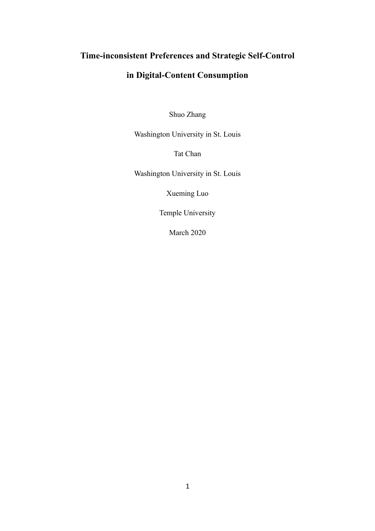# **Time-inconsistent Preferences and Strategic Self-Control**

# **in Digital-Content Consumption**

Shuo Zhang

Washington University in St. Louis

Tat Chan

Washington University in St. Louis

Xueming Luo

Temple University

March 2020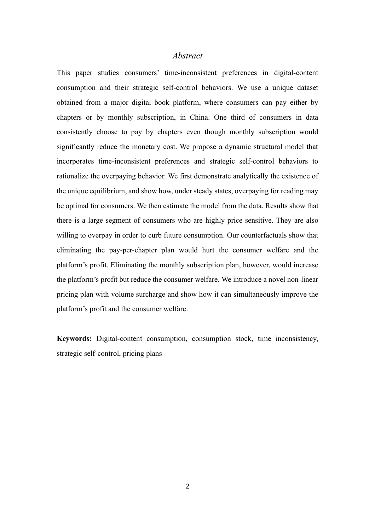## *Abstract*

This paper studies consumers' time-inconsistent preferences in digital-content consumption and their strategic self-control behaviors. We use a unique dataset obtained from a major digital book platform, where consumers can pay either by chapters or by monthly subscription, in China. One third of consumers in data consistently choose to pay by chapters even though monthly subscription would significantly reduce the monetary cost. We propose a dynamic structural model that incorporates time-inconsistent preferences and strategic self-control behaviors to rationalize the overpaying behavior. We first demonstrate analytically the existence of the unique equilibrium, and show how, under steady states, overpaying for reading may be optimal for consumers. We then estimate the model from the data. Results show that there is a large segment of consumers who are highly price sensitive. They are also willing to overpay in order to curb future consumption. Our counterfactuals show that eliminating the pay-per-chapter plan would hurt the consumer welfare and the platform's profit. Eliminating the monthly subscription plan, however, would increase the platform's profit but reduce the consumer welfare. We introduce a novel non-linear pricing plan with volume surcharge and show how it can simultaneously improve the platform's profit and the consumer welfare.

**Keywords:** Digital-content consumption, consumption stock, time inconsistency, strategic self-control, pricing plans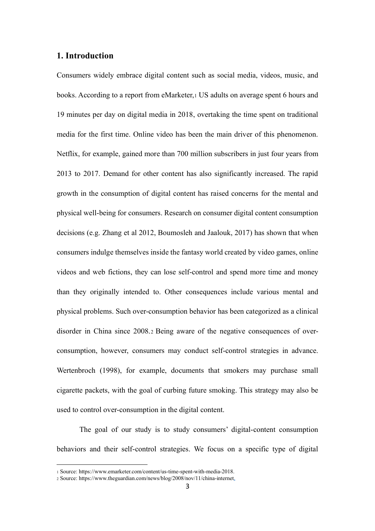# **1. Introduction**

Consumers widely embrace digital content such as social media, videos, music, and books. According to a report from eMarketer,<sup>1</sup> US adults on average spent 6 hours and 19 minutes per day on digital media in 2018, overtaking the time spent on traditional media for the first time. Online video has been the main driver of this phenomenon. Netflix, for example, gained more than 700 million subscribers in just four years from 2013 to 2017. Demand for other content has also significantly increased. The rapid growth in the consumption of digital content has raised concerns for the mental and physical well-being for consumers. Research on consumer digital content consumption decisions (e.g. Zhang et al 2012, Boumosleh and Jaalouk, 2017) has shown that when consumers indulge themselves inside the fantasy world created by video games, online videos and web fictions, they can lose self-control and spend more time and money than they originally intended to. Other consequences include various mental and physical problems. Such over-consumption behavior has been categorized as a clinical disorder in China since 2008.2 Being aware of the negative consequences of overconsumption, however, consumers may conduct self-control strategies in advance. Wertenbroch (1998), for example, documents that smokers may purchase small cigarette packets, with the goal of curbing future smoking. This strategy may also be used to control over-consumption in the digital content.

The goal of our study is to study consumers' digital-content consumption behaviors and their self-control strategies. We focus on a specific type of digital

<sup>1</sup> Source: https://www.emarketer.com/content/us-time-spent-with-media-2018.

<sup>2</sup> Source: https://www.theguardian.com/news/blog/2008/nov/11/china-internet.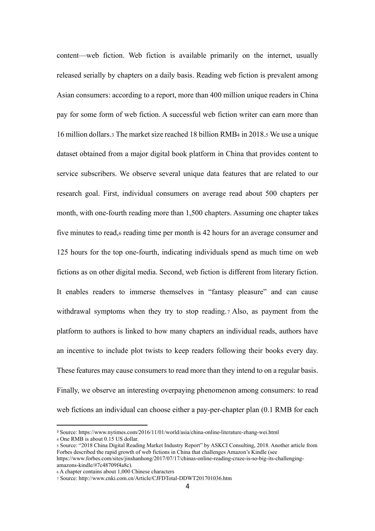content—web fiction. Web fiction is available primarily on the internet, usually released serially by chapters on a daily basis. Reading web fiction is prevalent among Asian consumers: according to a report, more than 400 million unique readers in China pay for some form of web fiction. A successful web fiction writer can earn more than 16 million dollars.<sup>3</sup> The market size reached 18 billion RMB<sup>4</sup> in 2018.<sup>5</sup> We use a unique dataset obtained from a major digital book platform in China that provides content to service subscribers. We observe several unique data features that are related to our research goal. First, individual consumers on average read about 500 chapters per month, with one-fourth reading more than 1,500 chapters. Assuming one chapter takes five minutes to read,<sup>6</sup> reading time per month is 42 hours for an average consumer and 125 hours for the top one-fourth, indicating individuals spend as much time on web fictions as on other digital media. Second, web fiction is different from literary fiction. It enables readers to immerse themselves in "fantasy pleasure" and can cause withdrawal symptoms when they try to stop reading. 7 Also, as payment from the platform to authors is linked to how many chapters an individual reads, authors have an incentive to include plot twists to keep readers following their books every day. These features may cause consumers to read more than they intend to on a regular basis. Finally, we observe an interesting overpaying phenomenon among consumers: to read web fictions an individual can choose either a pay-per-chapter plan (0.1 RMB for each

amazons-kindle/#7c48709f4a8c).

<sup>3</sup> Source: https://www.nytimes.com/2016/11/01/world/asia/china-online-literature-zhang-wei.html

<sup>4</sup> One RMB is about 0.15 US dollar.

<sup>5</sup> Source: "2018 China Digital Reading Market Industry Report" by ASKCI Consulting, 2018. Another article from Forbes described the rapid growth of web fictions in China that challenges Amazon's Kindle (see https://www.forbes.com/sites/jinshanhong/2017/07/17/chinas-online-reading-craze-is-so-big-its-challenging-

<sup>6</sup> A chapter contains about 1,000 Chinese characters

<sup>7</sup> Source: http://www.cnki.com.cn/Article/CJFDTotal-DDWT201701036.htm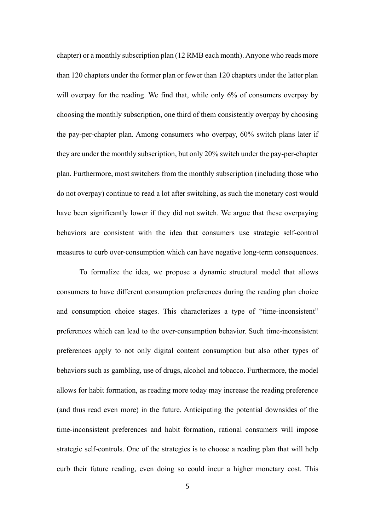chapter) or a monthly subscription plan (12 RMB each month). Anyone who reads more than 120 chapters under the former plan or fewer than 120 chapters under the latter plan will overpay for the reading. We find that, while only 6% of consumers overpay by choosing the monthly subscription, one third of them consistently overpay by choosing the pay-per-chapter plan. Among consumers who overpay, 60% switch plans later if they are under the monthly subscription, but only 20% switch under the pay-per-chapter plan. Furthermore, most switchers from the monthly subscription (including those who do not overpay) continue to read a lot after switching, as such the monetary cost would have been significantly lower if they did not switch. We argue that these overpaying behaviors are consistent with the idea that consumers use strategic self-control measures to curb over-consumption which can have negative long-term consequences.

To formalize the idea, we propose a dynamic structural model that allows consumers to have different consumption preferences during the reading plan choice and consumption choice stages. This characterizes a type of "time-inconsistent" preferences which can lead to the over-consumption behavior. Such time-inconsistent preferences apply to not only digital content consumption but also other types of behaviors such as gambling, use of drugs, alcohol and tobacco. Furthermore, the model allows for habit formation, as reading more today may increase the reading preference (and thus read even more) in the future. Anticipating the potential downsides of the time-inconsistent preferences and habit formation, rational consumers will impose strategic self-controls. One of the strategies is to choose a reading plan that will help curb their future reading, even doing so could incur a higher monetary cost. This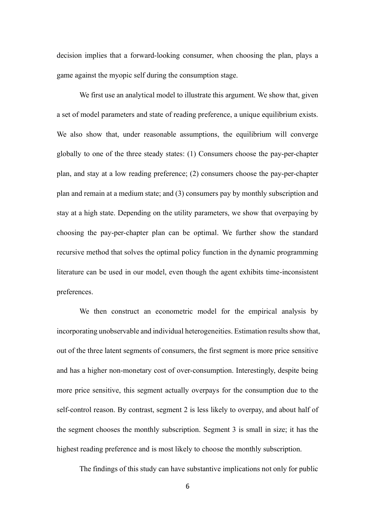decision implies that a forward-looking consumer, when choosing the plan, plays a game against the myopic self during the consumption stage.

We first use an analytical model to illustrate this argument. We show that, given a set of model parameters and state of reading preference, a unique equilibrium exists. We also show that, under reasonable assumptions, the equilibrium will converge globally to one of the three steady states: (1) Consumers choose the pay-per-chapter plan, and stay at a low reading preference; (2) consumers choose the pay-per-chapter plan and remain at a medium state; and (3) consumers pay by monthly subscription and stay at a high state. Depending on the utility parameters, we show that overpaying by choosing the pay-per-chapter plan can be optimal. We further show the standard recursive method that solves the optimal policy function in the dynamic programming literature can be used in our model, even though the agent exhibits time-inconsistent preferences.

We then construct an econometric model for the empirical analysis by incorporating unobservable and individual heterogeneities. Estimation results show that, out of the three latent segments of consumers, the first segment is more price sensitive and has a higher non-monetary cost of over-consumption. Interestingly, despite being more price sensitive, this segment actually overpays for the consumption due to the self-control reason. By contrast, segment 2 is less likely to overpay, and about half of the segment chooses the monthly subscription. Segment 3 is small in size; it has the highest reading preference and is most likely to choose the monthly subscription.

The findings of this study can have substantive implications not only for public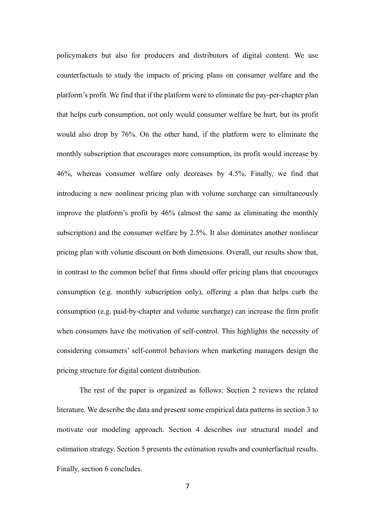policymakers but also for producers and distributors of digital content. We use counterfactuals to study the impacts of pricing plans on consumer welfare and the platform's profit. We find that if the platform were to eliminate the pay-per-chapter plan that helps curb consumption, not only would consumer welfare be hurt, but its profit would also drop by 76%. On the other hand, if the platform were to eliminate the monthly subscription that encourages more consumption, its profit would increase by 46%, whereas consumer welfare only decreases by 4.5%. Finally, we find that introducing a new nonlinear pricing plan with volume surcharge can simultaneously improve the platform's profit by 46% (almost the same as eliminating the monthly subscription) and the consumer welfare by 2.5%. It also dominates another nonlinear pricing plan with volume discount on both dimensions. Overall, our results show that, in contrast to the common belief that firms should offer pricing plans that encourages consumption (e.g. monthly subscription only), offering a plan that helps curb the consumption (e.g. paid-by-chapter and volume surcharge) can increase the firm profit when consumers have the motivation of self-control. This highlights the necessity of considering consumers' self-control behaviors when marketing managers design the pricing structure for digital content distribution.

The rest of the paper is organized as follows: Section 2 reviews the related literature. We describe the data and present some empirical data patterns in section 3 to motivate our modeling approach. Section 4 describes our structural model and estimation strategy. Section 5 presents the estimation results and counterfactual results. Finally, section 6 concludes.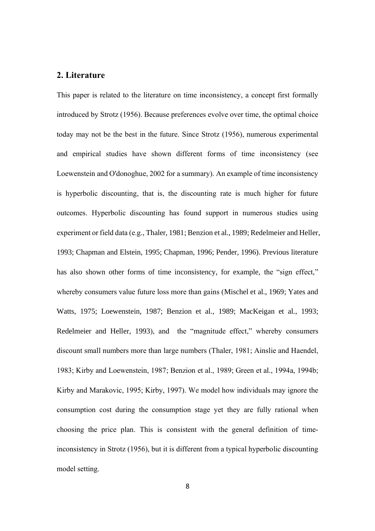# **2. Literature**

This paper is related to the literature on time inconsistency, a concept first formally introduced by Strotz (1956). Because preferences evolve over time, the optimal choice today may not be the best in the future. Since Strotz (1956), numerous experimental and empirical studies have shown different forms of time inconsistency (see Loewenstein and O'donoghue, 2002 for a summary). An example of time inconsistency is hyperbolic discounting, that is, the discounting rate is much higher for future outcomes. Hyperbolic discounting has found support in numerous studies using experiment or field data (e.g., Thaler, 1981; Benzion et al., 1989; Redelmeier and Heller, 1993; Chapman and Elstein, 1995; Chapman, 1996; Pender, 1996). Previous literature has also shown other forms of time inconsistency, for example, the "sign effect," whereby consumers value future loss more than gains (Mischel et al., 1969; Yates and Watts, 1975; Loewenstein, 1987; Benzion et al., 1989; MacKeigan et al., 1993; Redelmeier and Heller, 1993), and the "magnitude effect," whereby consumers discount small numbers more than large numbers (Thaler, 1981; Ainslie and Haendel, 1983; Kirby and Loewenstein, 1987; Benzion et al., 1989; Green et al., 1994a, 1994b; Kirby and Marakovic, 1995; Kirby, 1997). We model how individuals may ignore the consumption cost during the consumption stage yet they are fully rational when choosing the price plan. This is consistent with the general definition of timeinconsistency in Strotz (1956), but it is different from a typical hyperbolic discounting model setting.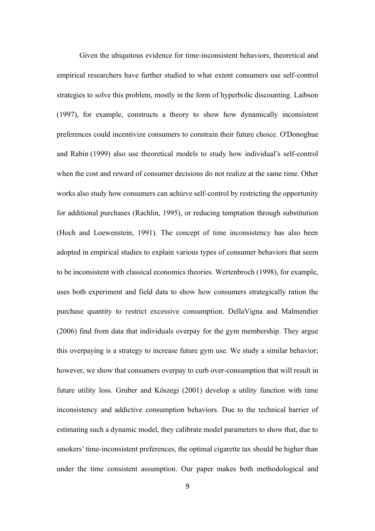Given the ubiquitous evidence for time-inconsistent behaviors, theoretical and empirical researchers have further studied to what extent consumers use self-control strategies to solve this problem, mostly in the form of hyperbolic discounting. Laibson (1997), for example, constructs a theory to show how dynamically inconsistent preferences could incentivize consumers to constrain their future choice. O'Donoghue and Rabin (1999) also use theoretical models to study how individual's self-control when the cost and reward of consumer decisions do not realize at the same time. Other works also study how consumers can achieve self-control by restricting the opportunity for additional purchases (Rachlin, 1995), or reducing temptation through substitution (Hoch and Loewenstein, 1991). The concept of time inconsistency has also been adopted in empirical studies to explain various types of consumer behaviors that seem to be inconsistent with classical economics theories. Wertenbroch (1998), for example, uses both experiment and field data to show how consumers strategically ration the purchase quantity to restrict excessive consumption. DellaVigna and Malmendier (2006) find from data that individuals overpay for the gym membership. They argue this overpaying is a strategy to increase future gym use. We study a similar behavior; however, we show that consumers overpay to curb over-consumption that will result in future utility loss. Gruber and Köszegi (2001) develop a utility function with time inconsistency and addictive consumption behaviors. Due to the technical barrier of estimating such a dynamic model, they calibrate model parameters to show that, due to smokers' time-inconsistent preferences, the optimal cigarette tax should be higher than under the time consistent assumption. Our paper makes both methodological and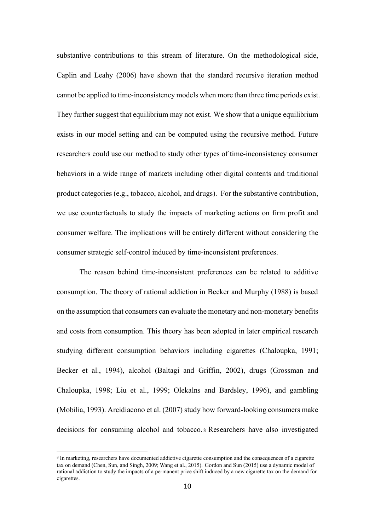substantive contributions to this stream of literature. On the methodological side, Caplin and Leahy (2006) have shown that the standard recursive iteration method cannot be applied to time-inconsistency models when more than three time periods exist. They further suggest that equilibrium may not exist. We show that a unique equilibrium exists in our model setting and can be computed using the recursive method. Future researchers could use our method to study other types of time-inconsistency consumer behaviors in a wide range of markets including other digital contents and traditional product categories (e.g., tobacco, alcohol, and drugs). For the substantive contribution, we use counterfactuals to study the impacts of marketing actions on firm profit and consumer welfare. The implications will be entirely different without considering the consumer strategic self-control induced by time-inconsistent preferences.

The reason behind time-inconsistent preferences can be related to additive consumption. The theory of rational addiction in Becker and Murphy (1988) is based on the assumption that consumers can evaluate the monetary and non-monetary benefits and costs from consumption. This theory has been adopted in later empirical research studying different consumption behaviors including cigarettes (Chaloupka, 1991; Becker et al., 1994), alcohol (Baltagi and Griffin, 2002), drugs (Grossman and Chaloupka, 1998; Liu et al., 1999; Olekalns and Bardsley, 1996), and gambling (Mobilia, 1993). Arcidiacono et al. (2007) study how forward-looking consumers make decisions for consuming alcohol and tobacco. <sup>8</sup> Researchers have also investigated

<sup>&</sup>lt;sup>8</sup> In marketing, researchers have documented addictive cigarette consumption and the consequences of a cigarette tax on demand (Chen, Sun, and Singh, 2009; Wang et al., 2015). Gordon and Sun (2015) use a dynamic model of rational addiction to study the impacts of a permanent price shift induced by a new cigarette tax on the demand for cigarettes.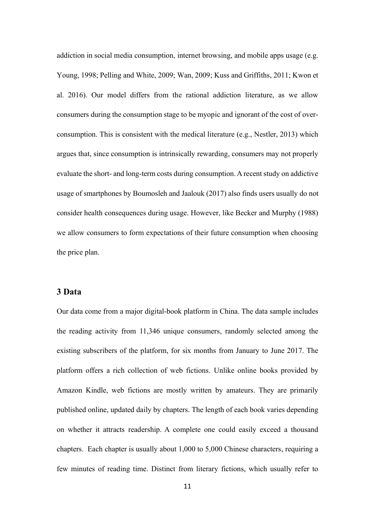addiction in social media consumption, internet browsing, and mobile apps usage (e.g. Young, 1998; Pelling and White, 2009; Wan, 2009; Kuss and Griffiths, 2011; Kwon et al. 2016). Our model differs from the rational addiction literature, as we allow consumers during the consumption stage to be myopic and ignorant of the cost of overconsumption. This is consistent with the medical literature (e.g., Nestler, 2013) which argues that, since consumption is intrinsically rewarding, consumers may not properly evaluate the short- and long-term costs during consumption. A recent study on addictive usage of smartphones by Boumosleh and Jaalouk (2017) also finds users usually do not consider health consequences during usage. However, like Becker and Murphy (1988) we allow consumers to form expectations of their future consumption when choosing the price plan.

## **3 Data**

Our data come from a major digital-book platform in China. The data sample includes the reading activity from 11,346 unique consumers, randomly selected among the existing subscribers of the platform, for six months from January to June 2017. The platform offers a rich collection of web fictions. Unlike online books provided by Amazon Kindle, web fictions are mostly written by amateurs. They are primarily published online, updated daily by chapters. The length of each book varies depending on whether it attracts readership. A complete one could easily exceed a thousand chapters. Each chapter is usually about 1,000 to 5,000 Chinese characters, requiring a few minutes of reading time. Distinct from literary fictions, which usually refer to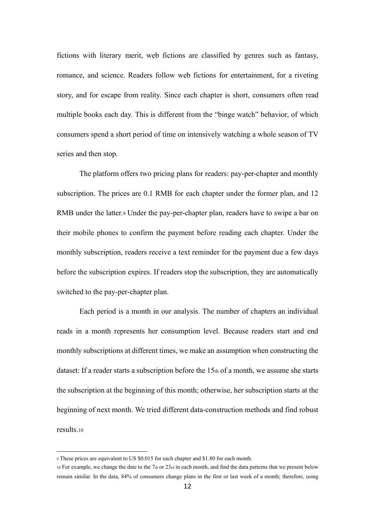fictions with literary merit, web fictions are classified by genres such as fantasy, romance, and science. Readers follow web fictions for entertainment, for a riveting story, and for escape from reality. Since each chapter is short, consumers often read multiple books each day. This is different from the "binge watch" behavior, of which consumers spend a short period of time on intensively watching a whole season of TV series and then stop.

The platform offers two pricing plans for readers: pay-per-chapter and monthly subscription. The prices are 0.1 RMB for each chapter under the former plan, and 12 RMB under the latter.<sup>9</sup> Under the pay-per-chapter plan, readers have to swipe a bar on their mobile phones to confirm the payment before reading each chapter. Under the monthly subscription, readers receive a text reminder for the payment due a few days before the subscription expires. If readers stop the subscription, they are automatically switched to the pay-per-chapter plan.

Each period is a month in our analysis. The number of chapters an individual reads in a month represents her consumption level. Because readers start and end monthly subscriptions at different times, we make an assumption when constructing the dataset: If a reader starts a subscription before the 15th of a month, we assume she starts the subscription at the beginning of this month; otherwise, her subscription starts at the beginning of next month. We tried different data-construction methods and find robust results.<sup>10</sup>

<sup>9</sup> These prices are equivalent to US \$0.015 for each chapter and \$1.80 for each month.

<sup>10</sup> For example, we change the date to the 7th or  $23\pi$  in each month, and find the data patterns that we present below remain similar. In the data, 84% of consumers change plans in the first or last week of a month; therefore, using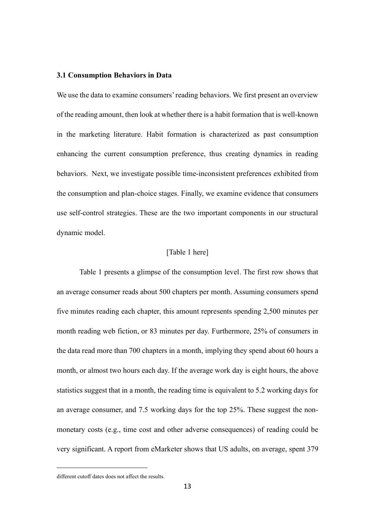### **3.1 Consumption Behaviors in Data**

We use the data to examine consumers' reading behaviors. We first present an overview of the reading amount, then look at whether there is a habit formation that is well-known in the marketing literature. Habit formation is characterized as past consumption enhancing the current consumption preference, thus creating dynamics in reading behaviors. Next, we investigate possible time-inconsistent preferences exhibited from the consumption and plan-choice stages. Finally, we examine evidence that consumers use self-control strategies. These are the two important components in our structural dynamic model.

## [Table 1 here]

Table 1 presents a glimpse of the consumption level. The first row shows that an average consumer reads about 500 chapters per month. Assuming consumers spend five minutes reading each chapter, this amount represents spending 2,500 minutes per month reading web fiction, or 83 minutes per day. Furthermore, 25% of consumers in the data read more than 700 chapters in a month, implying they spend about 60 hours a month, or almost two hours each day. If the average work day is eight hours, the above statistics suggest that in a month, the reading time is equivalent to 5.2 working days for an average consumer, and 7.5 working days for the top 25%. These suggest the nonmonetary costs (e.g., time cost and other adverse consequences) of reading could be very significant. A report from eMarketer shows that US adults, on average, spent 379

different cutoff dates does not affect the results.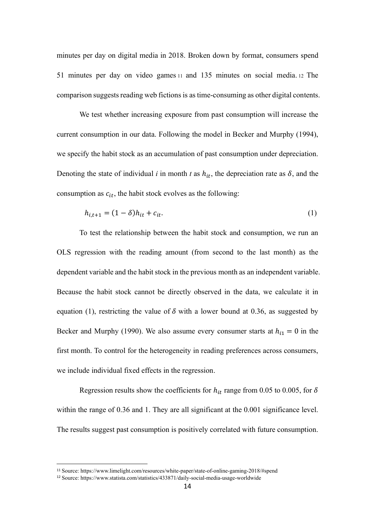minutes per day on digital media in 2018. Broken down by format, consumers spend 51 minutes per day on video games <sup>11</sup> and 135 minutes on social media. <sup>12</sup> The comparison suggests reading web fictions is as time-consuming as other digital contents.

We test whether increasing exposure from past consumption will increase the current consumption in our data. Following the model in Becker and Murphy (1994), we specify the habit stock as an accumulation of past consumption under depreciation. Denoting the state of individual *i* in month *t* as  $h_{it}$ , the depreciation rate as  $\delta$ , and the consumption as  $c_{it}$ , the habit stock evolves as the following:

$$
h_{i,t+1} = (1 - \delta)h_{it} + c_{it}.
$$
 (1)

To test the relationship between the habit stock and consumption, we run an OLS regression with the reading amount (from second to the last month) as the dependent variable and the habit stock in the previous month as an independent variable. Because the habit stock cannot be directly observed in the data, we calculate it in equation (1), restricting the value of  $\delta$  with a lower bound at 0.36, as suggested by Becker and Murphy (1990). We also assume every consumer starts at  $h_{i1} = 0$  in the first month. To control for the heterogeneity in reading preferences across consumers, we include individual fixed effects in the regression.

Regression results show the coefficients for  $h_{it}$  range from 0.05 to 0.005, for  $\delta$ within the range of 0.36 and 1. They are all significant at the 0.001 significance level. The results suggest past consumption is positively correlated with future consumption.

<sup>11</sup> Source: https://www.limelight.com/resources/white-paper/state-of-online-gaming-2018/#spend

<sup>12</sup> Source: https://www.statista.com/statistics/433871/daily-social-media-usage-worldwide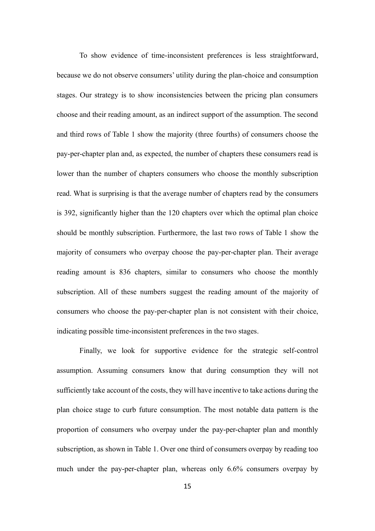To show evidence of time-inconsistent preferences is less straightforward, because we do not observe consumers' utility during the plan-choice and consumption stages. Our strategy is to show inconsistencies between the pricing plan consumers choose and their reading amount, as an indirect support of the assumption. The second and third rows of Table 1 show the majority (three fourths) of consumers choose the pay-per-chapter plan and, as expected, the number of chapters these consumers read is lower than the number of chapters consumers who choose the monthly subscription read. What is surprising is that the average number of chapters read by the consumers is 392, significantly higher than the 120 chapters over which the optimal plan choice should be monthly subscription. Furthermore, the last two rows of Table 1 show the majority of consumers who overpay choose the pay-per-chapter plan. Their average reading amount is 836 chapters, similar to consumers who choose the monthly subscription. All of these numbers suggest the reading amount of the majority of consumers who choose the pay-per-chapter plan is not consistent with their choice, indicating possible time-inconsistent preferences in the two stages.

Finally, we look for supportive evidence for the strategic self-control assumption. Assuming consumers know that during consumption they will not sufficiently take account of the costs, they will have incentive to take actions during the plan choice stage to curb future consumption. The most notable data pattern is the proportion of consumers who overpay under the pay-per-chapter plan and monthly subscription, as shown in Table 1. Over one third of consumers overpay by reading too much under the pay-per-chapter plan, whereas only 6.6% consumers overpay by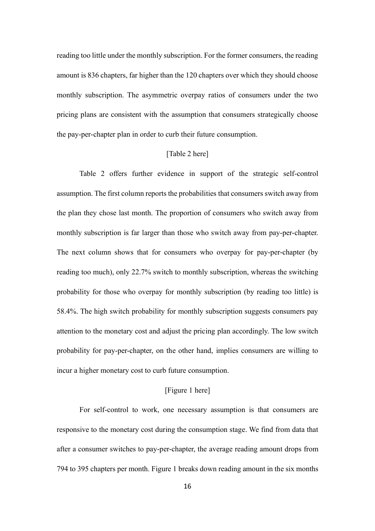reading too little under the monthly subscription. For the former consumers, the reading amount is 836 chapters, far higher than the 120 chapters over which they should choose monthly subscription. The asymmetric overpay ratios of consumers under the two pricing plans are consistent with the assumption that consumers strategically choose the pay-per-chapter plan in order to curb their future consumption.

#### [Table 2 here]

Table 2 offers further evidence in support of the strategic self-control assumption. The first column reports the probabilities that consumers switch away from the plan they chose last month. The proportion of consumers who switch away from monthly subscription is far larger than those who switch away from pay-per-chapter. The next column shows that for consumers who overpay for pay-per-chapter (by reading too much), only 22.7% switch to monthly subscription, whereas the switching probability for those who overpay for monthly subscription (by reading too little) is 58.4%. The high switch probability for monthly subscription suggests consumers pay attention to the monetary cost and adjust the pricing plan accordingly. The low switch probability for pay-per-chapter, on the other hand, implies consumers are willing to incur a higher monetary cost to curb future consumption.

## [Figure 1 here]

For self-control to work, one necessary assumption is that consumers are responsive to the monetary cost during the consumption stage. We find from data that after a consumer switches to pay-per-chapter, the average reading amount drops from 794 to 395 chapters per month. Figure 1 breaks down reading amount in the six months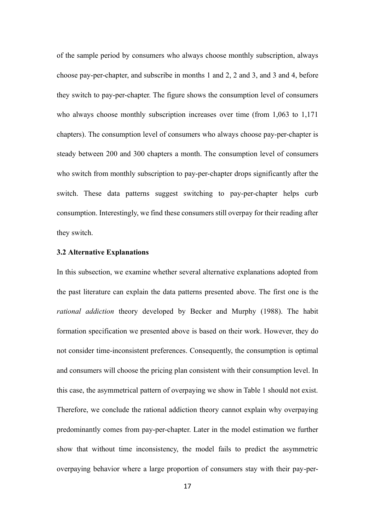of the sample period by consumers who always choose monthly subscription, always choose pay-per-chapter, and subscribe in months 1 and 2, 2 and 3, and 3 and 4, before they switch to pay-per-chapter. The figure shows the consumption level of consumers who always choose monthly subscription increases over time (from 1,063 to 1,171 chapters). The consumption level of consumers who always choose pay-per-chapter is steady between 200 and 300 chapters a month. The consumption level of consumers who switch from monthly subscription to pay-per-chapter drops significantly after the switch. These data patterns suggest switching to pay-per-chapter helps curb consumption. Interestingly, we find these consumers still overpay for their reading after they switch.

### **3.2 Alternative Explanations**

In this subsection, we examine whether several alternative explanations adopted from the past literature can explain the data patterns presented above. The first one is the *rational addiction* theory developed by Becker and Murphy (1988). The habit formation specification we presented above is based on their work. However, they do not consider time-inconsistent preferences. Consequently, the consumption is optimal and consumers will choose the pricing plan consistent with their consumption level. In this case, the asymmetrical pattern of overpaying we show in Table 1 should not exist. Therefore, we conclude the rational addiction theory cannot explain why overpaying predominantly comes from pay-per-chapter. Later in the model estimation we further show that without time inconsistency, the model fails to predict the asymmetric overpaying behavior where a large proportion of consumers stay with their pay-per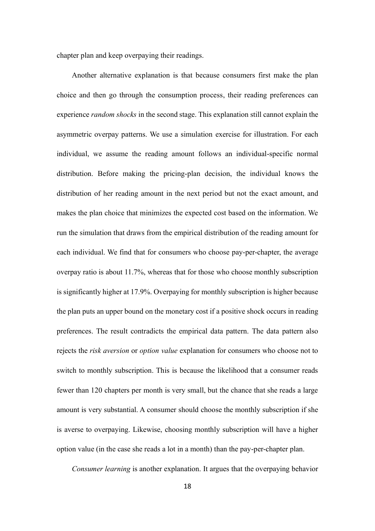chapter plan and keep overpaying their readings.

Another alternative explanation is that because consumers first make the plan choice and then go through the consumption process, their reading preferences can experience *random shocks* in the second stage. This explanation still cannot explain the asymmetric overpay patterns. We use a simulation exercise for illustration. For each individual, we assume the reading amount follows an individual-specific normal distribution. Before making the pricing-plan decision, the individual knows the distribution of her reading amount in the next period but not the exact amount, and makes the plan choice that minimizes the expected cost based on the information. We run the simulation that draws from the empirical distribution of the reading amount for each individual. We find that for consumers who choose pay-per-chapter, the average overpay ratio is about 11.7%, whereas that for those who choose monthly subscription is significantly higher at 17.9%. Overpaying for monthly subscription is higher because the plan puts an upper bound on the monetary cost if a positive shock occurs in reading preferences. The result contradicts the empirical data pattern. The data pattern also rejects the *risk aversion* or *option value* explanation for consumers who choose not to switch to monthly subscription. This is because the likelihood that a consumer reads fewer than 120 chapters per month is very small, but the chance that she reads a large amount is very substantial. A consumer should choose the monthly subscription if she is averse to overpaying. Likewise, choosing monthly subscription will have a higher option value (in the case she reads a lot in a month) than the pay-per-chapter plan.

*Consumer learning* is another explanation. It argues that the overpaying behavior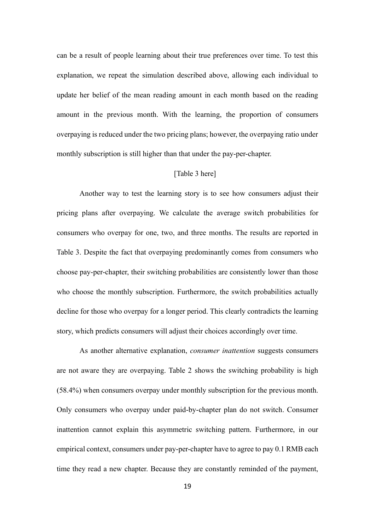can be a result of people learning about their true preferences over time. To test this explanation, we repeat the simulation described above, allowing each individual to update her belief of the mean reading amount in each month based on the reading amount in the previous month. With the learning, the proportion of consumers overpaying is reduced under the two pricing plans; however, the overpaying ratio under monthly subscription is still higher than that under the pay-per-chapter.

#### [Table 3 here]

Another way to test the learning story is to see how consumers adjust their pricing plans after overpaying. We calculate the average switch probabilities for consumers who overpay for one, two, and three months. The results are reported in Table 3. Despite the fact that overpaying predominantly comes from consumers who choose pay-per-chapter, their switching probabilities are consistently lower than those who choose the monthly subscription. Furthermore, the switch probabilities actually decline for those who overpay for a longer period. This clearly contradicts the learning story, which predicts consumers will adjust their choices accordingly over time.

As another alternative explanation, *consumer inattention* suggests consumers are not aware they are overpaying. Table 2 shows the switching probability is high (58.4%) when consumers overpay under monthly subscription for the previous month. Only consumers who overpay under paid-by-chapter plan do not switch. Consumer inattention cannot explain this asymmetric switching pattern. Furthermore, in our empirical context, consumers under pay-per-chapter have to agree to pay 0.1 RMB each time they read a new chapter. Because they are constantly reminded of the payment,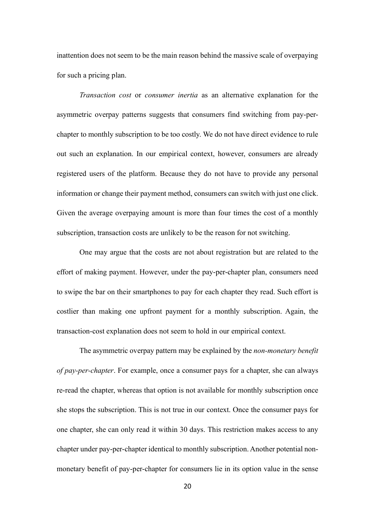inattention does not seem to be the main reason behind the massive scale of overpaying for such a pricing plan.

*Transaction cost* or *consumer inertia* as an alternative explanation for the asymmetric overpay patterns suggests that consumers find switching from pay-perchapter to monthly subscription to be too costly. We do not have direct evidence to rule out such an explanation. In our empirical context, however, consumers are already registered users of the platform. Because they do not have to provide any personal information or change their payment method, consumers can switch with just one click. Given the average overpaying amount is more than four times the cost of a monthly subscription, transaction costs are unlikely to be the reason for not switching.

One may argue that the costs are not about registration but are related to the effort of making payment. However, under the pay-per-chapter plan, consumers need to swipe the bar on their smartphones to pay for each chapter they read. Such effort is costlier than making one upfront payment for a monthly subscription. Again, the transaction-cost explanation does not seem to hold in our empirical context.

The asymmetric overpay pattern may be explained by the *non-monetary benefit of pay-per-chapter*. For example, once a consumer pays for a chapter, she can always re-read the chapter, whereas that option is not available for monthly subscription once she stops the subscription. This is not true in our context. Once the consumer pays for one chapter, she can only read it within 30 days. This restriction makes access to any chapter under pay-per-chapter identical to monthly subscription. Another potential nonmonetary benefit of pay-per-chapter for consumers lie in its option value in the sense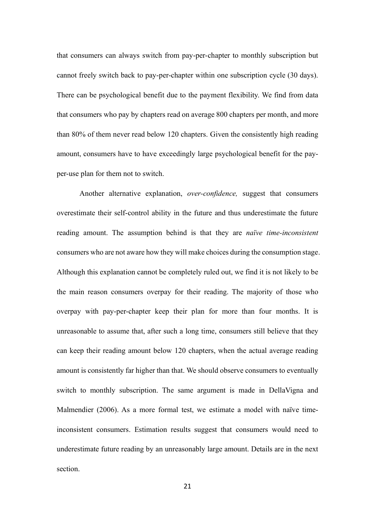that consumers can always switch from pay-per-chapter to monthly subscription but cannot freely switch back to pay-per-chapter within one subscription cycle (30 days). There can be psychological benefit due to the payment flexibility. We find from data that consumers who pay by chapters read on average 800 chapters per month, and more than 80% of them never read below 120 chapters. Given the consistently high reading amount, consumers have to have exceedingly large psychological benefit for the payper-use plan for them not to switch.

Another alternative explanation, *over-confidence,* suggest that consumers overestimate their self-control ability in the future and thus underestimate the future reading amount. The assumption behind is that they are *naïve time-inconsistent* consumers who are not aware how they will make choices during the consumption stage. Although this explanation cannot be completely ruled out, we find it is not likely to be the main reason consumers overpay for their reading. The majority of those who overpay with pay-per-chapter keep their plan for more than four months. It is unreasonable to assume that, after such a long time, consumers still believe that they can keep their reading amount below 120 chapters, when the actual average reading amount is consistently far higher than that. We should observe consumers to eventually switch to monthly subscription. The same argument is made in DellaVigna and Malmendier (2006). As a more formal test, we estimate a model with naïve timeinconsistent consumers. Estimation results suggest that consumers would need to underestimate future reading by an unreasonably large amount. Details are in the next section.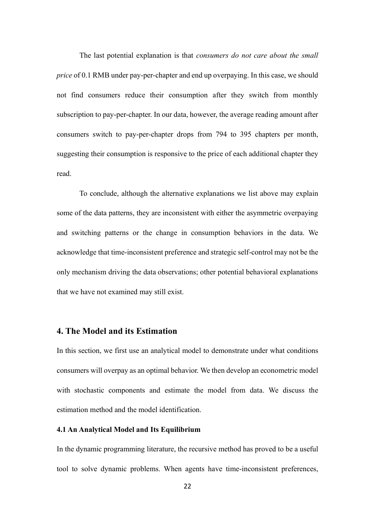The last potential explanation is that *consumers do not care about the small price* of 0.1 RMB under pay-per-chapter and end up overpaying. In this case, we should not find consumers reduce their consumption after they switch from monthly subscription to pay-per-chapter. In our data, however, the average reading amount after consumers switch to pay-per-chapter drops from 794 to 395 chapters per month, suggesting their consumption is responsive to the price of each additional chapter they read.

To conclude, although the alternative explanations we list above may explain some of the data patterns, they are inconsistent with either the asymmetric overpaying and switching patterns or the change in consumption behaviors in the data. We acknowledge that time-inconsistent preference and strategic self-control may not be the only mechanism driving the data observations; other potential behavioral explanations that we have not examined may still exist.

# **4. The Model and its Estimation**

In this section, we first use an analytical model to demonstrate under what conditions consumers will overpay as an optimal behavior. We then develop an econometric model with stochastic components and estimate the model from data. We discuss the estimation method and the model identification.

#### **4.1 An Analytical Model and Its Equilibrium**

In the dynamic programming literature, the recursive method has proved to be a useful tool to solve dynamic problems. When agents have time-inconsistent preferences,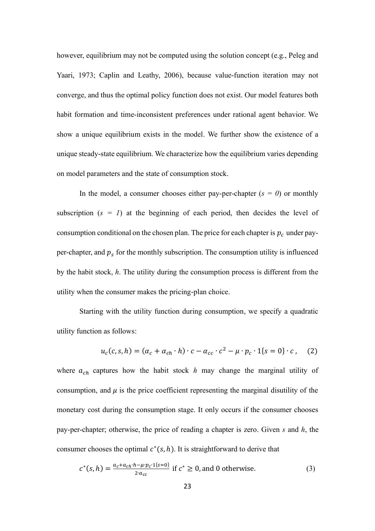however, equilibrium may not be computed using the solution concept (e.g., Peleg and Yaari, 1973; Caplin and Leathy, 2006), because value-function iteration may not converge, and thus the optimal policy function does not exist. Our model features both habit formation and time-inconsistent preferences under rational agent behavior. We show a unique equilibrium exists in the model. We further show the existence of a unique steady-state equilibrium. We characterize how the equilibrium varies depending on model parameters and the state of consumption stock.

In the model, a consumer chooses either pay-per-chapter  $(s = 0)$  or monthly subscription  $(s = 1)$  at the beginning of each period, then decides the level of consumption conditional on the chosen plan. The price for each chapter is  $p_c$  under payper-chapter, and  $p_s$  for the monthly subscription. The consumption utility is influenced by the habit stock, *h*. The utility during the consumption process is different from the utility when the consumer makes the pricing-plan choice.

Starting with the utility function during consumption, we specify a quadratic utility function as follows:

$$
u_c(c, s, h) = (\alpha_c + \alpha_{ch} \cdot h) \cdot c - \alpha_{cc} \cdot c^2 - \mu \cdot p_c \cdot 1\{s = 0\} \cdot c \tag{2}
$$

where  $a_{ch}$  captures how the habit stock *h* may change the marginal utility of consumption, and  $\mu$  is the price coefficient representing the marginal disutility of the monetary cost during the consumption stage. It only occurs if the consumer chooses pay-per-chapter; otherwise, the price of reading a chapter is zero. Given *s* and *h*, the consumer chooses the optimal  $c^*(s, h)$ . It is straightforward to derive that

$$
c^*(s, h) = \frac{a_c + a_{ch} \cdot h - \mu \cdot p_c \cdot 1\{s = 0\}}{2 \cdot a_{cc}} \text{ if } c^* \ge 0, \text{ and } 0 \text{ otherwise.}
$$
 (3)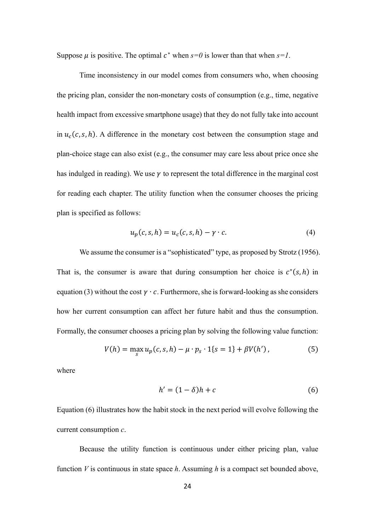Suppose  $\mu$  is positive. The optimal  $c^*$  when  $s=0$  is lower than that when  $s=1$ .

Time inconsistency in our model comes from consumers who, when choosing the pricing plan, consider the non-monetary costs of consumption (e.g., time, negative health impact from excessive smartphone usage) that they do not fully take into account in  $u_c(c, s, h)$ . A difference in the monetary cost between the consumption stage and plan-choice stage can also exist (e.g., the consumer may care less about price once she has indulged in reading). We use  $\gamma$  to represent the total difference in the marginal cost for reading each chapter. The utility function when the consumer chooses the pricing plan is specified as follows:

$$
u_p(c, s, h) = u_c(c, s, h) - \gamma \cdot c. \tag{4}
$$

We assume the consumer is a "sophisticated" type, as proposed by Strotz (1956). That is, the consumer is aware that during consumption her choice is  $c^*(s,h)$  in equation (3) without the cost  $\gamma \cdot c$ . Furthermore, she is forward-looking as she considers how her current consumption can affect her future habit and thus the consumption. Formally, the consumer chooses a pricing plan by solving the following value function:

$$
V(h) = \max_{s} u_p(c, s, h) - \mu \cdot p_s \cdot 1\{s = 1\} + \beta V(h'), \tag{5}
$$

where

$$
h' = (1 - \delta)h + c \tag{6}
$$

Equation (6) illustrates how the habit stock in the next period will evolve following the current consumption *c*.

Because the utility function is continuous under either pricing plan, value function *V* is continuous in state space *h*. Assuming *h* is a compact set bounded above,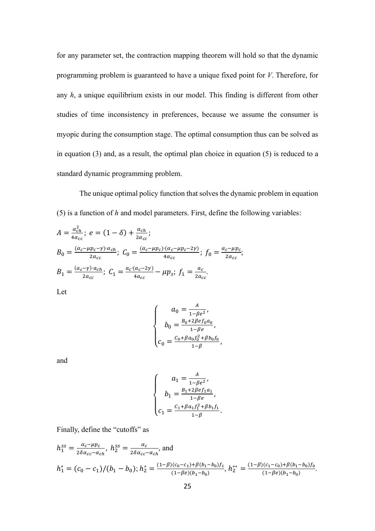for any parameter set, the contraction mapping theorem will hold so that the dynamic programming problem is guaranteed to have a unique fixed point for *V*. Therefore, for any *h*, a unique equilibrium exists in our model. This finding is different from other studies of time inconsistency in preferences, because we assume the consumer is myopic during the consumption stage. The optimal consumption thus can be solved as in equation (3) and, as a result, the optimal plan choice in equation (5) is reduced to a standard dynamic programming problem.

The unique optimal policy function that solves the dynamic problem in equation (5) is a function of *h* and model parameters. First, define the following variables:

$$
A = \frac{\alpha_{ch}^2}{4\alpha_{cc}}; \ e = (1 - \delta) + \frac{\alpha_{ch}}{2\alpha_{cc}}; \nB_0 = \frac{(\alpha_c - \mu p_c - \gamma) \alpha_{ch}}{2\alpha_{cc}}; \ C_0 = \frac{(\alpha_c - \mu p_c) (\alpha_c - \mu p_c - 2\gamma)}{4\alpha_{cc}}; \ f_0 = \frac{\alpha_c - \mu p_c}{2\alpha_{cc}}; \nB_1 = \frac{(\alpha_c - \gamma) \alpha_{ch}}{2\alpha_{cc}}; \ C_1 = \frac{\alpha_c (\alpha_c - 2\gamma)}{4\alpha_{cc}} - \mu p_s; \ f_1 = \frac{a_c}{2\alpha_{cc}}.
$$

Let

$$
\begin{cases}\n a_0 = \frac{A}{1 - \beta e^2}, \\
 b_0 = \frac{B_0 + 2\beta e f_0 a_0}{1 - \beta e}, \\
 c_0 = \frac{C_0 + \beta a_0 f_0^2 + \beta b_0 f_0}{1 - \beta},\n\end{cases}
$$

and

$$
\begin{cases}\n a_1 = \frac{A}{1 - \beta e^2}, \\
 b_1 = \frac{B_1 + 2\beta e f_1 a_1}{1 - \beta e}, \\
 c_1 = \frac{C_1 + \beta a_1 f_1^2 + \beta b_1 f_1}{1 - \beta}.\n\end{cases}
$$

Finally, define the "cutoffs" as

$$
h_1^{ss} = \frac{\alpha_c - \mu p_c}{2\delta \alpha_{cc} - \alpha_{ch}}, \ h_2^{ss} = \frac{\alpha_c}{2\delta \alpha_{cc} - \alpha_{ch}}, \text{and}
$$
  

$$
h_1^* = (c_0 - c_1)/(b_1 - b_0); \ h_2^* = \frac{(1 - \beta)(c_0 - c_1) + \beta(b_1 - b_0)f_1}{(1 - \beta e)(b_1 - b_0)}, \ h_2^{**} = \frac{(1 - \beta)(c_1 - c_0) + \beta(b_1 - b_0)f_0}{(1 - \beta e)(b_1 - b_0)}.
$$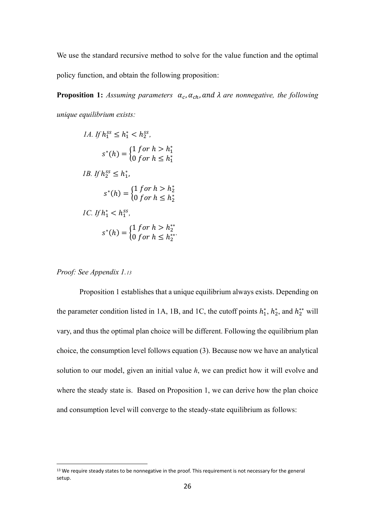We use the standard recursive method to solve for the value function and the optimal policy function, and obtain the following proposition:

**Proposition 1:** Assuming parameters  $\alpha_c$ ,  $\alpha_{ch}$ , and  $\lambda$  are nonnegative, the following *unique equilibrium exists:*

1A. If 
$$
h_1^{ss} \leq h_1^* < h_2^{ss}
$$
,

\n
$$
s^*(h) = \begin{cases} 1 \text{ for } h > h_1^* \\ 0 \text{ for } h \leq h_1^* \end{cases}
$$
\n1B. If  $h_2^{ss} \leq h_1^*$ ,

\n
$$
s^*(h) = \begin{cases} 1 \text{ for } h > h_2^* \\ 0 \text{ for } h \leq h_2^* \end{cases}
$$
\n1C. If  $h_1^* < h_1^{ss}$ ,

\n
$$
s^*(h) = \begin{cases} 1 \text{ for } h > h_2^{**} \\ 0 \text{ for } h \leq h_2^{**} \end{cases}
$$

*Proof: See Appendix 1.<sup>13</sup>*

Proposition 1 establishes that a unique equilibrium always exists. Depending on the parameter condition listed in 1A, 1B, and 1C, the cutoff points  $h_1^*$ ,  $h_2^*$ , and  $h_2^{**}$  will vary, and thus the optimal plan choice will be different. Following the equilibrium plan choice, the consumption level follows equation (3). Because now we have an analytical solution to our model, given an initial value *h*, we can predict how it will evolve and where the steady state is. Based on Proposition 1, we can derive how the plan choice and consumption level will converge to the steady-state equilibrium as follows:

<sup>&</sup>lt;sup>13</sup> We require steady states to be nonnegative in the proof. This requirement is not necessary for the general setup.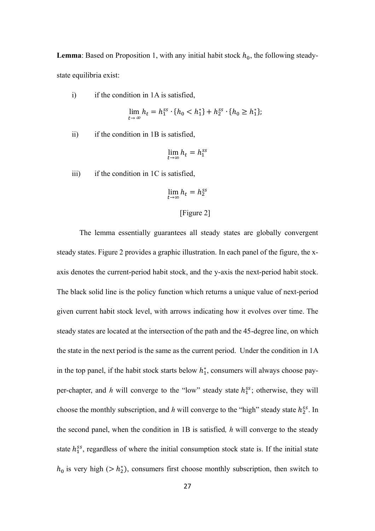**Lemma**: Based on Proposition 1, with any initial habit stock  $h_0$ , the following steadystate equilibria exist:

i) if the condition in 1A is satisfied,

$$
\lim_{t \to \infty} h_t = h_1^{ss} \cdot \{h_0 < h_1^*\} + h_2^{ss} \cdot \{h_0 \ge h_1^*\};
$$

ii) if the condition in 1B is satisfied,

$$
\lim_{t \to \infty} h_t = h_1^{ss}
$$

iii) if the condition in  $1C$  is satisfied,

$$
\lim_{t \to \infty} h_t = h_2^{ss}
$$

## [Figure 2]

The lemma essentially guarantees all steady states are globally convergent steady states. Figure 2 provides a graphic illustration. In each panel of the figure, the xaxis denotes the current-period habit stock, and the y-axis the next-period habit stock. The black solid line is the policy function which returns a unique value of next-period given current habit stock level, with arrows indicating how it evolves over time. The steady states are located at the intersection of the path and the 45-degree line, on which the state in the next period is the same as the current period. Under the condition in 1A in the top panel, if the habit stock starts below  $h_1^*$ , consumers will always choose payper-chapter, and  $h$  will converge to the "low" steady state  $h_1^{ss}$ ; otherwise, they will choose the monthly subscription, and  $h$  will converge to the "high" steady state  $h_2^{ss}$ . In the second panel, when the condition in 1B is satisfied*, h* will converge to the steady state  $h_1^{ss}$ , regardless of where the initial consumption stock state is. If the initial state  $h_0$  is very high (>  $h_2^*$ ), consumers first choose monthly subscription, then switch to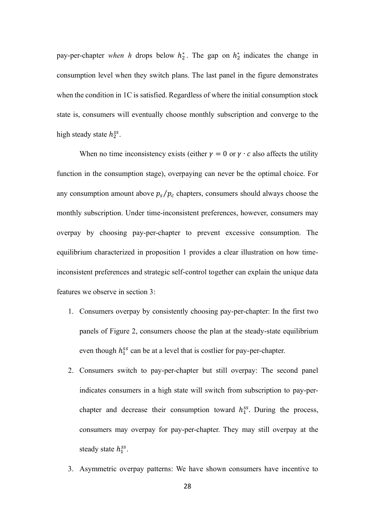pay-per-chapter *when h* drops below  $h_2^*$ . The gap on  $h_2^*$  indicates the change in consumption level when they switch plans. The last panel in the figure demonstrates when the condition in 1C is satisfied. Regardless of where the initial consumption stock state is, consumers will eventually choose monthly subscription and converge to the high steady state  $h_2^{ss}$ .

When no time inconsistency exists (either  $\gamma = 0$  or  $\gamma \cdot c$  also affects the utility function in the consumption stage), overpaying can never be the optimal choice. For any consumption amount above  $p_s / p_c$  chapters, consumers should always choose the monthly subscription. Under time-inconsistent preferences, however, consumers may overpay by choosing pay-per-chapter to prevent excessive consumption. The equilibrium characterized in proposition 1 provides a clear illustration on how timeinconsistent preferences and strategic self-control together can explain the unique data features we observe in section 3:

- 1. Consumers overpay by consistently choosing pay-per-chapter: In the first two panels of Figure 2, consumers choose the plan at the steady-state equilibrium even though  $h_1^{ss}$  can be at a level that is costlier for pay-per-chapter.
- 2. Consumers switch to pay-per-chapter but still overpay: The second panel indicates consumers in a high state will switch from subscription to pay-perchapter and decrease their consumption toward  $h_1^{ss}$ . During the process, consumers may overpay for pay-per-chapter. They may still overpay at the steady state  $h_1^{ss}$ .
- 3. Asymmetric overpay patterns: We have shown consumers have incentive to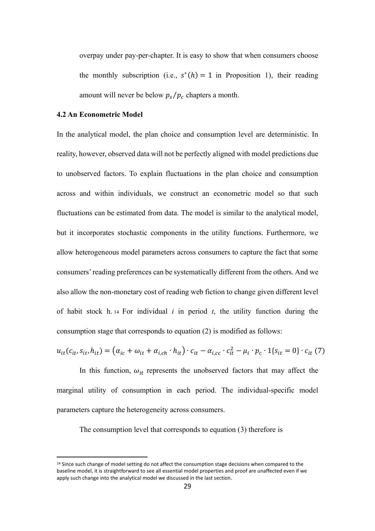overpay under pay-per-chapter. It is easy to show that when consumers choose the monthly subscription (i.e.,  $s^*(h) = 1$  in Proposition 1), their reading amount will never be below  $p_s / p_c$  chapters a month.

## **4.2 An Econometric Model**

In the analytical model, the plan choice and consumption level are deterministic. In reality, however, observed data will not be perfectly aligned with model predictions due to unobserved factors. To explain fluctuations in the plan choice and consumption across and within individuals, we construct an econometric model so that such fluctuations can be estimated from data. The model is similar to the analytical model, but it incorporates stochastic components in the utility functions. Furthermore, we allow heterogeneous model parameters across consumers to capture the fact that some consumers' reading preferences can be systematically different from the others. And we also allow the non-monetary cost of reading web fiction to change given different level of habit stock h. <sup>14</sup> For individual *i* in period *t*, the utility function during the consumption stage that corresponds to equation (2) is modified as follows:

$$
u_{it}(c_{it}, s_{it}, h_{it}) = (\alpha_{ic} + \omega_{it} + \alpha_{i, ch} \cdot h_{it}) \cdot c_{it} - \alpha_{i, cc} \cdot c_{it}^2 - \mu_i \cdot p_c \cdot 1\{s_{it} = 0\} \cdot c_{it} (7)
$$

In this function,  $\omega_{it}$  represents the unobserved factors that may affect the marginal utility of consumption in each period. The individual-specific model parameters capture the heterogeneity across consumers.

The consumption level that corresponds to equation (3) therefore is

<sup>&</sup>lt;sup>14</sup> Since such change of model setting do not affect the consumption stage decisions when compared to the baseline model, it is straightforward to see all essential model properties and proof are unaffected even if we apply such change into the analytical model we discussed in the last section.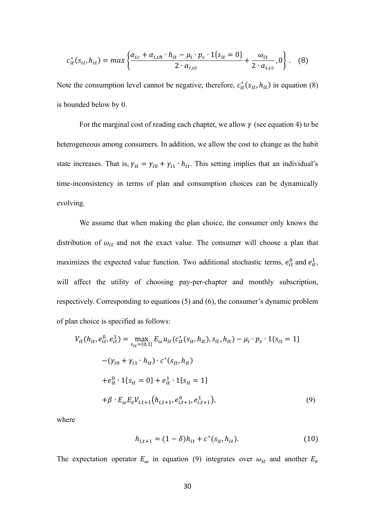$$
c_{it}^*(s_{it}, h_{it}) = max \left\{ \frac{\alpha_{ic} + \alpha_{i, ch} \cdot h_{it} - \mu_i \cdot p_c \cdot 1\{s_{it} = 0\}}{2 \cdot \alpha_{i, cc}} + \frac{\omega_{it}}{2 \cdot \alpha_{i, cc}}, 0 \right\}.
$$
 (8)

Note the consumption level cannot be negative; therefore,  $c_{it}^{*}(s_{it}, h_{it})$  in equation (8) is bounded below by 0.

For the marginal cost of reading each chapter, we allow  $\gamma$  (see equation 4) to be heterogeneous among consumers. In addition, we allow the cost to change as the habit state increases. That is,  $\gamma_{it} = \gamma_{i0} + \gamma_{i1} \cdot h_{it}$ . This setting implies that an individual's time-inconsistency in terms of plan and consumption choices can be dynamically evolving.

We assume that when making the plan choice, the consumer only knows the distribution of  $\omega_{it}$  and not the exact value. The consumer will choose a plan that maximizes the expected value function. Two additional stochastic terms,  $e_{it}^0$  and  $e_{it}^1$ , will affect the utility of choosing pay-per-chapter and monthly subscription, respectively. Corresponding to equations (5) and (6), the consumer's dynamic problem of plan choice is specified as follows:

$$
V_{it}(h_{it}, e_{it}^0, e_{it}^1) = \max_{s_{it}=\{0,1\}} E_{\omega} u_{it}(c_{it}^*(s_{it}, h_{it}), s_{it}, h_{it}) - \mu_i \cdot p_s \cdot 1\{s_{it} = 1\}
$$

$$
-(\gamma_{i0} + \gamma_{i1} \cdot h_{it}) \cdot c^*(s_{it}, h_{it})
$$

$$
+ e_{it}^0 \cdot 1\{s_{it} = 0\} + e_{it}^1 \cdot 1\{s_{it} = 1\}
$$

$$
+ \beta \cdot E_{\omega} E_e V_{i,t+1}(h_{i,t+1}, e_{i,t+1}^0, e_{i,t+1}^1), \qquad (9)
$$

where

$$
h_{i,t+1} = (1 - \delta)h_{it} + c^*(s_{it}, h_{it}).
$$
\n(10)

The expectation operator  $E_{\omega}$  in equation (9) integrates over  $\omega_{it}$  and another  $E_e$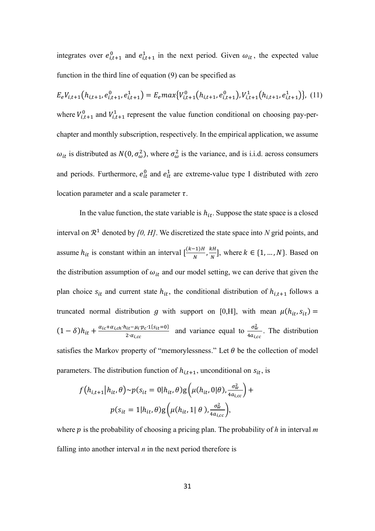integrates over  $e_{i,t+1}^0$  and  $e_{i,t+1}^1$  in the next period. Given  $\omega_{it}$ , the expected value function in the third line of equation (9) can be specified as

$$
E_eV_{i,t+1}(h_{i,t+1}, e_{i,t+1}^0, e_{i,t+1}^1) = E_e max\{V_{i,t+1}^0(h_{i,t+1}, e_{i,t+1}^0), V_{i,t+1}^1(h_{i,t+1}, e_{i,t+1}^1)\}, (11)
$$
  
where  $V_{i,t+1}^0$  and  $V_{i,t+1}^1$  represent the value function conditional on choosing pay-per-  
chapter and monthly subscription, respectively. In the empirical application, we assume  
 $\omega_{it}$  is distributed as  $N(0, \sigma_\omega^2)$ , where  $\sigma_\omega^2$  is the variance, and is i.i.d. across consumers  
and periods. Furthermore,  $e_{it}^0$  and  $e_{it}^1$  are extreme-value type I distributed with zero  
location parameter and a scale parameter  $\tau$ .

In the value function, the state variable is  $h_{it}$ . Suppose the state space is a closed interval on  $\mathbb{R}^1$  denoted by [0, H]. We discretized the state space into N grid points, and assume  $h_{it}$  is constant within an interval  $\left[\frac{(k-1)H}{N}\right]$  $\frac{-1)H}{N}$ ,  $\frac{kH}{N}$  $\frac{m}{N}$ , where  $k \in \{1, ..., N\}$ . Based on the distribution assumption of  $\omega_{it}$  and our model setting, we can derive that given the plan choice  $s_{it}$  and current state  $h_{it}$ , the conditional distribution of  $h_{i,t+1}$  follows a truncated normal distribution g with support on [0,H], with mean  $\mu(h_{it}, s_{it}) =$  $(1 - \delta)h_{it} + \frac{\alpha_{ic} + \alpha_{i, ch} \cdot h_{it} - \mu_i \cdot p_c \cdot 1\{s_{it} = 0\}}{2\cdot \alpha_{i, ch}}$  $\frac{\mu_{it} - \mu_i p_c \cdot 1\{s_{it} = 0\}}{2 \cdot \alpha_{i,cc}}$  and variance equal to  $\frac{\sigma_w^2}{4\alpha_{i,c}}$  $\frac{\partial w}{\partial a_{i,cc}}$ . The distribution satisfies the Markov property of "memorylessness." Let  $\theta$  be the collection of model parameters. The distribution function of  $h_{i,t+1}$ , unconditional on  $s_{it}$ , is

$$
f\left(h_{i,t+1}\middle|h_{it},\theta\right) \sim p(s_{it} = 0 \middle|h_{it},\theta\right) g\left(\mu(h_{it}, 0 \middle|\theta\right), \frac{\sigma_w^2}{4a_{i,cc}}\right) + p(s_{it} = 1 \middle|h_{it},\theta\right) g\left(\mu(h_{it}, 1 \middle|\theta\right), \frac{\sigma_w^2}{4a_{i,cc}}\right),
$$

where  $p$  is the probability of choosing a pricing plan. The probability of  $h$  in interval  $m$ falling into another interval *n* in the next period therefore is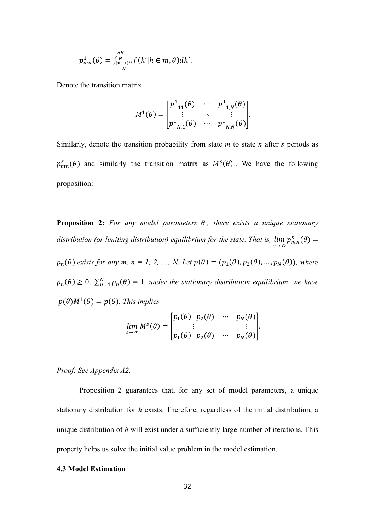$$
p_{mn}^1(\theta) = \int_{\frac{(n-1)H}{N}}^{\frac{nH}{N}} f(h'|h \in m, \theta) dh'.
$$

Denote the transition matrix

$$
M^{1}(\theta) = \begin{bmatrix} p^{1}_{11}(\theta) & \cdots & p^{1}_{1,N}(\theta) \\ \vdots & \ddots & \vdots \\ p^{1}_{N,1}(\theta) & \cdots & p^{1}_{N,N}(\theta) \end{bmatrix}.
$$

Similarly, denote the transition probability from state *m* to state *n* after *s* periods as  $p_{mn}^s(\theta)$  and similarly the transition matrix as  $M^s(\theta)$ . We have the following proposition:

**Proposition 2:** For any model parameters  $\theta$ , there exists a unique stationary *distribution (or limiting distribution) equilibrium for the state. That is,*   $\lim_{s\to\infty}p_{mn}^s(\theta)=$  $p_n(\theta)$  exists for any m,  $n = 1, 2, ..., N$ . Let  $p(\theta) = (p_1(\theta), p_2(\theta), ..., p_N(\theta))$ , where  $p_n(\theta) \geq 0$ ,  $\sum_{n=1}^{N} p_n(\theta) = 1$ , under the stationary distribution equilibrium, we have  $p(\theta)M^1(\theta) = p(\theta)$ . This implies

$$
\lim_{s \to \infty} M^s(\theta) = \begin{bmatrix} p_1(\theta) & p_2(\theta) & \cdots & p_N(\theta) \\ \vdots & & & \vdots \\ p_1(\theta) & p_2(\theta) & \cdots & p_N(\theta) \end{bmatrix}.
$$

*Proof: See Appendix A2.*

Proposition 2 guarantees that, for any set of model parameters, a unique stationary distribution for *h* exists. Therefore, regardless of the initial distribution, a unique distribution of *h* will exist under a sufficiently large number of iterations. This property helps us solve the initial value problem in the model estimation.

### **4.3 Model Estimation**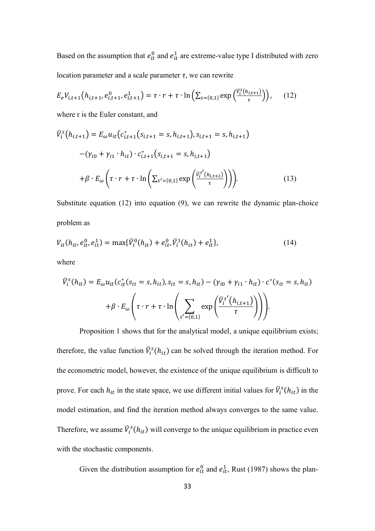Based on the assumption that  $e_{it}^0$  and  $e_{it}^1$  are extreme-value type I distributed with zero location parameter and a scale parameter  $\tau$ , we can rewrite

$$
E_e V_{i,t+1}(h_{i,t+1}, e_{i,t+1}^0, e_{i,t+1}^1) = \tau \cdot r + \tau \cdot \ln\left(\sum_{s=\{0,1\}} \exp\left(\frac{\bar{v}_i^s(h_{i,t+1})}{\tau}\right)\right),\tag{12}
$$

where r is the Euler constant, and

$$
\bar{V}_{i}^{s}(h_{i,t+1}) = E_{\omega} u_{it} (c_{i,t+1}^{*}(s_{i,t+1} = s, h_{i,t+1}), s_{i,t+1} = s, h_{i,t+1})
$$

$$
-(\gamma_{i0} + \gamma_{i1} \cdot h_{it}) \cdot c_{i,t+1}^{*}(s_{i,t+1} = s, h_{i,t+1})
$$

$$
+ \beta \cdot E_{\omega} \left( \tau \cdot r + \tau \cdot \ln \left( \sum_{s' = \{0,1\}} \exp \left( \frac{\bar{V}_{i}^{s'}(h_{i,t+2})}{\tau} \right) \right) \right).
$$
(13)

Substitute equation (12) into equation (9), we can rewrite the dynamic plan-choice problem as

$$
V_{it}(h_{it}, e_{it}^0, e_{it}^1) = \max{\{\bar{V}_i^0(h_{it}) + e_{it}^0, \bar{V}_i^1(h_{it}) + e_{it}^1\}},\tag{14}
$$

where

$$
\overline{V}_i^s(h_{it}) = E_{\omega} u_{it} (c_{it}^*(s_{it} = s, h_{it}), s_{it} = s, h_{it}) - (\gamma_{i0} + \gamma_{i1} \cdot h_{it}) \cdot c^*(s_{it} = s, h_{it})
$$

$$
+ \beta \cdot E_{\omega} \left( \tau \cdot r + \tau \cdot \ln \left( \sum_{s' = \{0, 1\}} \exp \left( \frac{\overline{V}_i^{s'}(h_{i, t+1})}{\tau} \right) \right) \right).
$$

Proposition 1 shows that for the analytical model, a unique equilibrium exists; therefore, the value function  $\bar{V}_i^s(h_{it})$  can be solved through the iteration method. For the econometric model, however, the existence of the unique equilibrium is difficult to prove. For each  $h_{it}$  in the state space, we use different initial values for  $\bar{V}_i^s(h_{it})$  in the model estimation, and find the iteration method always converges to the same value. Therefore, we assume  $\bar{V}_i^s(h_{it})$  will converge to the unique equilibrium in practice even with the stochastic components.

Given the distribution assumption for  $e_{it}^0$  and  $e_{it}^1$ , Rust (1987) shows the plan-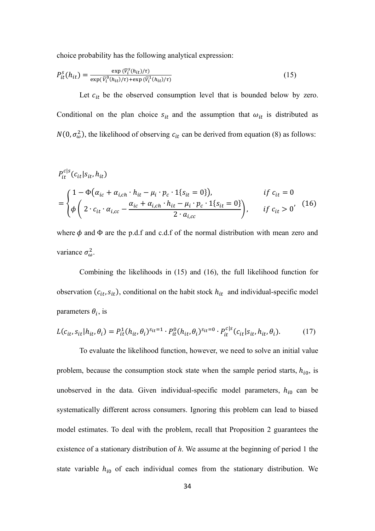choice probability has the following analytical expression:

$$
P_{it}^s(h_{it}) = \frac{\exp(\overline{v}_i^s(h_{it})/\tau)}{\exp(\overline{v}_i^0(h_{it})/\tau) + \exp(\overline{v}_i^1(h_{it})/\tau)}
$$
(15)

Let  $c_{it}$  be the observed consumption level that is bounded below by zero. Conditional on the plan choice  $s_{it}$  and the assumption that  $\omega_{it}$  is distributed as  $N(0, \sigma_{\omega}^2)$ , the likelihood of observing  $c_{it}$  can be derived from equation (8) as follows:

$$
P_{it}^{cls}(c_{it}|s_{it}, h_{it})
$$
\n
$$
= \begin{cases}\n1 - \Phi(\alpha_{ic} + \alpha_{i, ch} \cdot h_{it} - \mu_i \cdot p_c \cdot 1\{s_{it} = 0\}), & \text{if } c_{it} = 0 \\
\phi \left(2 \cdot c_{it} \cdot \alpha_{i, cc} - \frac{\alpha_{ic} + \alpha_{i, ch} \cdot h_{it} - \mu_i \cdot p_c \cdot 1\{s_{it} = 0\}}{2 \cdot a_{i, cc}}\right), & \text{if } c_{it} > 0'\n\end{cases}
$$
\n(16)

where  $\phi$  and  $\Phi$  are the p.d.f and c.d.f of the normal distribution with mean zero and variance  $\sigma_{\omega}^2$ .

Combining the likelihoods in (15) and (16), the full likelihood function for observation  $(c_{it}, s_{it})$ , conditional on the habit stock  $h_{it}$  and individual-specific model parameters  $\theta_i$ , is

$$
L(c_{it}, s_{it} | h_{it}, \theta_i) = P_{it}^1(h_{it}, \theta_i)^{s_{it}=1} \cdot P_{it}^0(h_{it}, \theta_i)^{s_{it}=0} \cdot P_{it}^{c|s}(c_{it} | s_{it}, h_{it}, \theta_i).
$$
(17)

To evaluate the likelihood function, however, we need to solve an initial value problem, because the consumption stock state when the sample period starts,  $h_{i0}$ , is unobserved in the data. Given individual-specific model parameters,  $h_{i0}$  can be systematically different across consumers. Ignoring this problem can lead to biased model estimates. To deal with the problem, recall that Proposition 2 guarantees the existence of a stationary distribution of *h*. We assume at the beginning of period 1 the state variable  $h_{i0}$  of each individual comes from the stationary distribution. We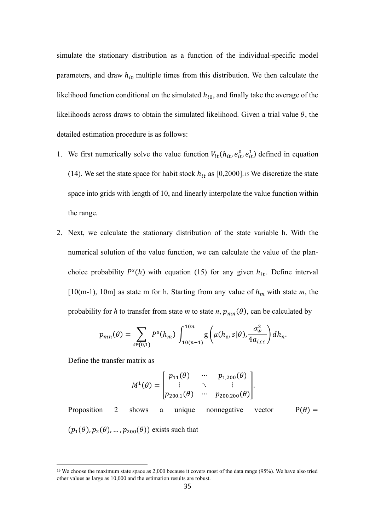simulate the stationary distribution as a function of the individual-specific model parameters, and draw  $h_{i0}$  multiple times from this distribution. We then calculate the likelihood function conditional on the simulated  $h_{i0}$ , and finally take the average of the likelihoods across draws to obtain the simulated likelihood. Given a trial value  $\theta$ , the detailed estimation procedure is as follows:

- 1. We first numerically solve the value function  $V_{it}(h_{it}, e_{it}^0, e_{it}^1)$  defined in equation (14). We set the state space for habit stock  $h_{it}$  as [0,2000].<sup>15</sup> We discretize the state space into grids with length of 10, and linearly interpolate the value function within the range.
- 2. Next, we calculate the stationary distribution of the state variable h. With the numerical solution of the value function, we can calculate the value of the planchoice probability  $P^{s}(h)$  with equation (15) for any given  $h_{it}$ . Define interval [10(m-1), 10m] as state m for h. Starting from any value of  $h_m$  with state m, the probability for *h* to transfer from state *m* to state *n*,  $p_{mn}(\theta)$ , can be calculated by

$$
p_{mn}(\theta) = \sum_{s \in \{0,1\}} P^s(h_m) \int_{10(n-1)}^{10n} g\left(\mu(h_n, s | \theta), \frac{\sigma_w^2}{4a_{i,cc}}\right) dh_n.
$$

Define the transfer matrix as

$$
M^{1}(\theta) = \begin{bmatrix} p_{11}(\theta) & \cdots & p_{1,200}(\theta) \\ \vdots & \ddots & \vdots \\ p_{200,1}(\theta) & \cdots & p_{200,200}(\theta) \end{bmatrix}.
$$

Proposition 2 shows a unique nonnegative vector  $P(\theta) =$  $(p_1(\theta), p_2(\theta), ..., p_{200}(\theta))$  exists such that

<sup>15</sup> We choose the maximum state space as 2,000 because it covers most of the data range (95%). We have also tried other values as large as 10,000 and the estimation results are robust.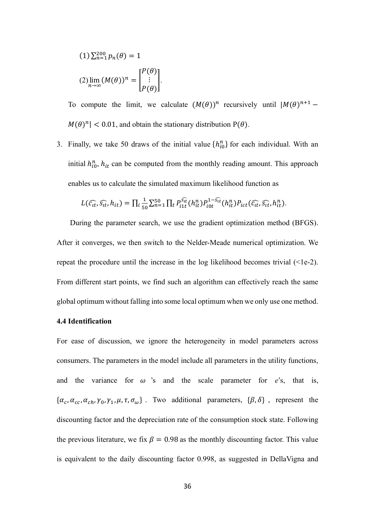$$
(1)\sum_{n=1}^{200} p_n(\theta) = 1
$$
  

$$
(2)\lim_{n\to\infty} (M(\theta))^n = \begin{bmatrix} P(\theta) \\ \vdots \\ P(\theta) \end{bmatrix}.
$$

To compute the limit, we calculate  $(M(\theta))^n$  recursively until  $|M(\theta)^{n+1}$  –  $M(\theta)^n$  | < 0.01, and obtain the stationary distribution P( $\theta$ ).

3. Finally, we take 50 draws of the initial value  $\{h_{i0}^n\}$  for each individual. With an initial  $h_{i0}^n$ ,  $h_{it}$  can be computed from the monthly reading amount. This approach enables us to calculate the simulated maximum likelihood function as

$$
L(\widehat{c_{it}}, \widehat{s_{it}}, h_{it}) = \prod_i \frac{1}{50} \sum_{n=1}^{50} \prod_t P_{i1t}^{\widehat{s_{it}}}(h_{it}^n) P_{i0t}^{1-\widehat{s_{it}}}(h_{it}^n) P_{ict}(\widehat{c_{it}}, \widehat{s_{it}}, h_{it}^n).
$$

During the parameter search, we use the gradient optimization method (BFGS). After it converges, we then switch to the Nelder-Meade numerical optimization. We repeat the procedure until the increase in the log likelihood becomes trivial  $(\leq 1e-2)$ . From different start points, we find such an algorithm can effectively reach the same global optimum without falling into some local optimum when we only use one method.

### **4.4 Identification**

For ease of discussion, we ignore the heterogeneity in model parameters across consumers. The parameters in the model include all parameters in the utility functions, and the variance for  $\omega$  's and the scale parameter for  $e$ 's, that is,  $\{\alpha_c, \alpha_{cc}, \alpha_{ch}, \gamma_0, \gamma_1, \mu, \tau, \sigma_\omega\}$ . Two additional parameters,  $\{\beta, \delta\}$ , represent the discounting factor and the depreciation rate of the consumption stock state. Following the previous literature, we fix  $\beta = 0.98$  as the monthly discounting factor. This value is equivalent to the daily discounting factor 0.998, as suggested in DellaVigna and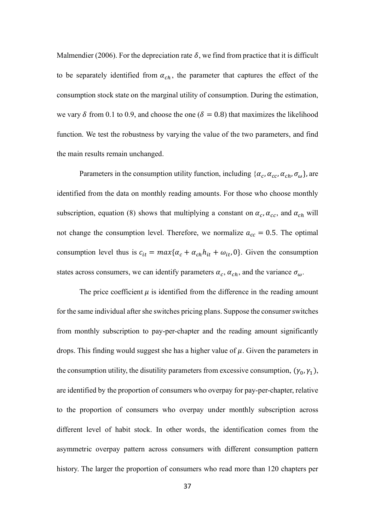Malmendier (2006). For the depreciation rate  $\delta$ , we find from practice that it is difficult to be separately identified from  $\alpha_{ch}$ , the parameter that captures the effect of the consumption stock state on the marginal utility of consumption. During the estimation, we vary  $\delta$  from 0.1 to 0.9, and choose the one ( $\delta = 0.8$ ) that maximizes the likelihood function. We test the robustness by varying the value of the two parameters, and find the main results remain unchanged.

Parameters in the consumption utility function, including  $\{\alpha_c, \alpha_{cc}, \alpha_{ch}, \sigma_\omega\}$ , are identified from the data on monthly reading amounts. For those who choose monthly subscription, equation (8) shows that multiplying a constant on  $\alpha_c$ ,  $\alpha_{cc}$ , and  $\alpha_{ch}$  will not change the consumption level. Therefore, we normalize  $a_{cc} = 0.5$ . The optimal consumption level thus is  $c_{it} = max\{\alpha_c + \alpha_{ch}h_{it} + \omega_{it}, 0\}$ . Given the consumption states across consumers, we can identify parameters  $\alpha_c$ ,  $\alpha_{ch}$ , and the variance  $\sigma_{\omega}$ .

The price coefficient  $\mu$  is identified from the difference in the reading amount for the same individual after she switches pricing plans. Suppose the consumer switches from monthly subscription to pay-per-chapter and the reading amount significantly drops. This finding would suggest she has a higher value of  $\mu$ . Given the parameters in the consumption utility, the disutility parameters from excessive consumption,  $(\gamma_0, \gamma_1)$ , are identified by the proportion of consumers who overpay for pay-per-chapter, relative to the proportion of consumers who overpay under monthly subscription across different level of habit stock. In other words, the identification comes from the asymmetric overpay pattern across consumers with different consumption pattern history. The larger the proportion of consumers who read more than 120 chapters per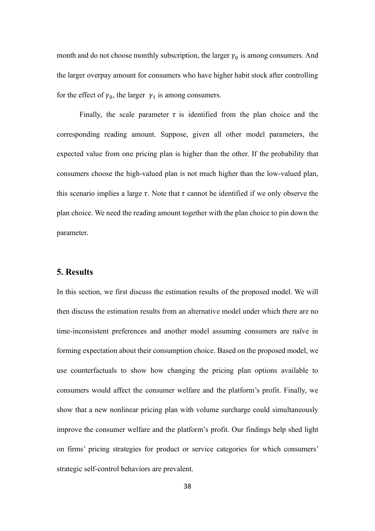month and do not choose monthly subscription, the larger  $\gamma_0$  is among consumers. And the larger overpay amount for consumers who have higher habit stock after controlling for the effect of  $\gamma_0$ , the larger  $\gamma_1$  is among consumers.

Finally, the scale parameter  $\tau$  is identified from the plan choice and the corresponding reading amount. Suppose, given all other model parameters, the expected value from one pricing plan is higher than the other. If the probability that consumers choose the high-valued plan is not much higher than the low-valued plan, this scenario implies a large  $\tau$ . Note that  $\tau$  cannot be identified if we only observe the plan choice. We need the reading amount together with the plan choice to pin down the parameter.

## **5. Results**

In this section, we first discuss the estimation results of the proposed model. We will then discuss the estimation results from an alternative model under which there are no time-inconsistent preferences and another model assuming consumers are naïve in forming expectation about their consumption choice. Based on the proposed model, we use counterfactuals to show how changing the pricing plan options available to consumers would affect the consumer welfare and the platform's profit. Finally, we show that a new nonlinear pricing plan with volume surcharge could simultaneously improve the consumer welfare and the platform's profit. Our findings help shed light on firms' pricing strategies for product or service categories for which consumers' strategic self-control behaviors are prevalent.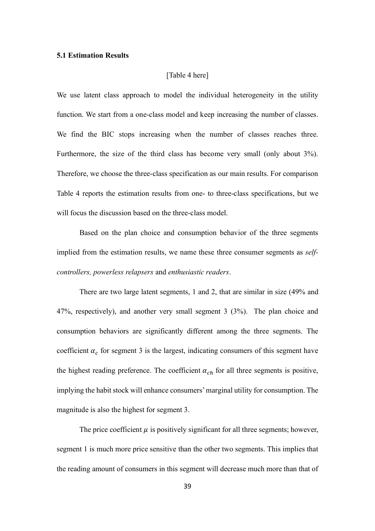#### **5.1 Estimation Results**

### [Table 4 here]

We use latent class approach to model the individual heterogeneity in the utility function. We start from a one-class model and keep increasing the number of classes. We find the BIC stops increasing when the number of classes reaches three. Furthermore, the size of the third class has become very small (only about 3%). Therefore, we choose the three-class specification as our main results. For comparison Table 4 reports the estimation results from one- to three-class specifications, but we will focus the discussion based on the three-class model.

Based on the plan choice and consumption behavior of the three segments implied from the estimation results, we name these three consumer segments as *selfcontrollers, powerless relapsers* and *enthusiastic readers*.

There are two large latent segments, 1 and 2, that are similar in size (49% and 47%, respectively), and another very small segment 3 (3%). The plan choice and consumption behaviors are significantly different among the three segments. The coefficient  $\alpha_c$  for segment 3 is the largest, indicating consumers of this segment have the highest reading preference. The coefficient  $\alpha_{ch}$  for all three segments is positive, implying the habit stock will enhance consumers' marginal utility for consumption. The magnitude is also the highest for segment 3.

The price coefficient  $\mu$  is positively significant for all three segments; however, segment 1 is much more price sensitive than the other two segments. This implies that the reading amount of consumers in this segment will decrease much more than that of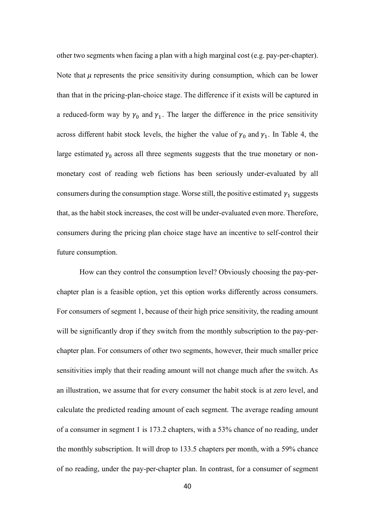other two segments when facing a plan with a high marginal cost (e.g. pay-per-chapter). Note that  $\mu$  represents the price sensitivity during consumption, which can be lower than that in the pricing-plan-choice stage. The difference if it exists will be captured in a reduced-form way by  $\gamma_0$  and  $\gamma_1$ . The larger the difference in the price sensitivity across different habit stock levels, the higher the value of  $\gamma_0$  and  $\gamma_1$ . In Table 4, the large estimated  $\gamma_0$  across all three segments suggests that the true monetary or nonmonetary cost of reading web fictions has been seriously under-evaluated by all consumers during the consumption stage. Worse still, the positive estimated  $\gamma_1$  suggests that, as the habit stock increases, the cost will be under-evaluated even more. Therefore, consumers during the pricing plan choice stage have an incentive to self-control their future consumption.

How can they control the consumption level? Obviously choosing the pay-perchapter plan is a feasible option, yet this option works differently across consumers. For consumers of segment 1, because of their high price sensitivity, the reading amount will be significantly drop if they switch from the monthly subscription to the pay-perchapter plan. For consumers of other two segments, however, their much smaller price sensitivities imply that their reading amount will not change much after the switch. As an illustration, we assume that for every consumer the habit stock is at zero level, and calculate the predicted reading amount of each segment. The average reading amount of a consumer in segment 1 is 173.2 chapters, with a 53% chance of no reading, under the monthly subscription. It will drop to 133.5 chapters per month, with a 59% chance of no reading, under the pay-per-chapter plan. In contrast, for a consumer of segment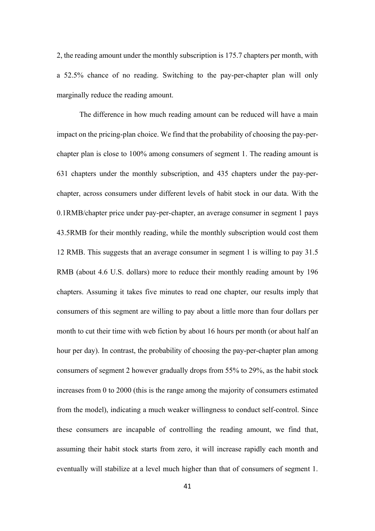2, the reading amount under the monthly subscription is 175.7 chapters per month, with a 52.5% chance of no reading. Switching to the pay-per-chapter plan will only marginally reduce the reading amount.

The difference in how much reading amount can be reduced will have a main impact on the pricing-plan choice. We find that the probability of choosing the pay-perchapter plan is close to 100% among consumers of segment 1. The reading amount is 631 chapters under the monthly subscription, and 435 chapters under the pay-perchapter, across consumers under different levels of habit stock in our data. With the 0.1RMB/chapter price under pay-per-chapter, an average consumer in segment 1 pays 43.5RMB for their monthly reading, while the monthly subscription would cost them 12 RMB. This suggests that an average consumer in segment 1 is willing to pay 31.5 RMB (about 4.6 U.S. dollars) more to reduce their monthly reading amount by 196 chapters. Assuming it takes five minutes to read one chapter, our results imply that consumers of this segment are willing to pay about a little more than four dollars per month to cut their time with web fiction by about 16 hours per month (or about half an hour per day). In contrast, the probability of choosing the pay-per-chapter plan among consumers of segment 2 however gradually drops from 55% to 29%, as the habit stock increases from 0 to 2000 (this is the range among the majority of consumers estimated from the model), indicating a much weaker willingness to conduct self-control. Since these consumers are incapable of controlling the reading amount, we find that, assuming their habit stock starts from zero, it will increase rapidly each month and eventually will stabilize at a level much higher than that of consumers of segment 1.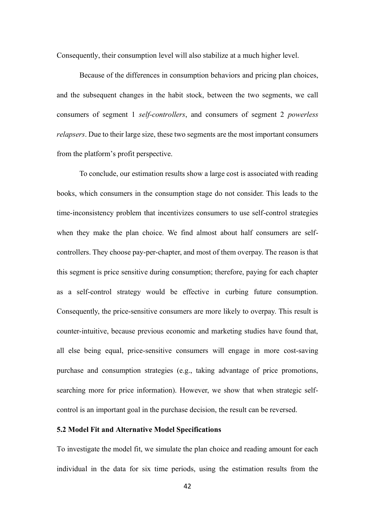Consequently, their consumption level will also stabilize at a much higher level.

Because of the differences in consumption behaviors and pricing plan choices, and the subsequent changes in the habit stock, between the two segments, we call consumers of segment 1 *self-controllers*, and consumers of segment 2 *powerless relapsers*. Due to their large size, these two segments are the most important consumers from the platform's profit perspective.

To conclude, our estimation results show a large cost is associated with reading books, which consumers in the consumption stage do not consider. This leads to the time-inconsistency problem that incentivizes consumers to use self-control strategies when they make the plan choice. We find almost about half consumers are selfcontrollers. They choose pay-per-chapter, and most of them overpay. The reason is that this segment is price sensitive during consumption; therefore, paying for each chapter as a self-control strategy would be effective in curbing future consumption. Consequently, the price-sensitive consumers are more likely to overpay. This result is counter-intuitive, because previous economic and marketing studies have found that, all else being equal, price-sensitive consumers will engage in more cost-saving purchase and consumption strategies (e.g., taking advantage of price promotions, searching more for price information). However, we show that when strategic selfcontrol is an important goal in the purchase decision, the result can be reversed.

### **5.2 Model Fit and Alternative Model Specifications**

To investigate the model fit, we simulate the plan choice and reading amount for each individual in the data for six time periods, using the estimation results from the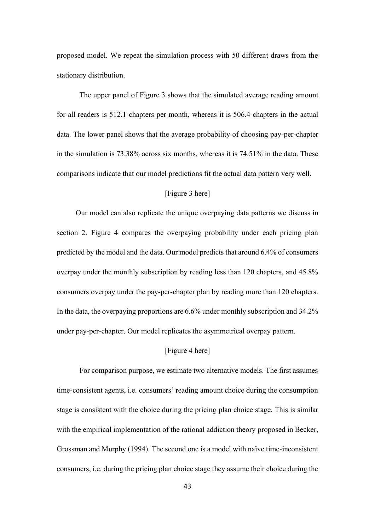proposed model. We repeat the simulation process with 50 different draws from the stationary distribution.

The upper panel of Figure 3 shows that the simulated average reading amount for all readers is 512.1 chapters per month, whereas it is 506.4 chapters in the actual data. The lower panel shows that the average probability of choosing pay-per-chapter in the simulation is 73.38% across six months, whereas it is 74.51% in the data. These comparisons indicate that our model predictions fit the actual data pattern very well.

### [Figure 3 here]

 Our model can also replicate the unique overpaying data patterns we discuss in section 2. Figure 4 compares the overpaying probability under each pricing plan predicted by the model and the data. Our model predicts that around 6.4% of consumers overpay under the monthly subscription by reading less than 120 chapters, and 45.8% consumers overpay under the pay-per-chapter plan by reading more than 120 chapters. In the data, the overpaying proportions are 6.6% under monthly subscription and 34.2% under pay-per-chapter. Our model replicates the asymmetrical overpay pattern.

#### [Figure 4 here]

For comparison purpose, we estimate two alternative models. The first assumes time-consistent agents, i.e. consumers' reading amount choice during the consumption stage is consistent with the choice during the pricing plan choice stage. This is similar with the empirical implementation of the rational addiction theory proposed in Becker, Grossman and Murphy (1994). The second one is a model with naïve time-inconsistent consumers, i.e. during the pricing plan choice stage they assume their choice during the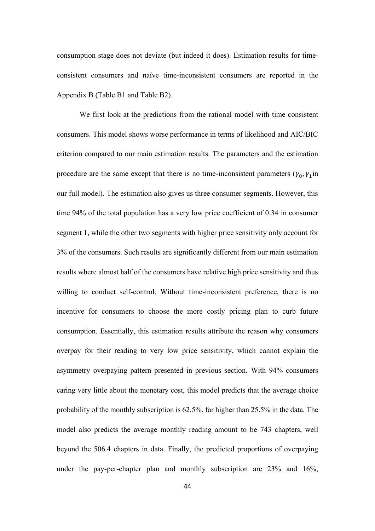consumption stage does not deviate (but indeed it does). Estimation results for timeconsistent consumers and naïve time-inconsistent consumers are reported in the Appendix B (Table B1 and Table B2).

We first look at the predictions from the rational model with time consistent consumers. This model shows worse performance in terms of likelihood and AIC/BIC criterion compared to our main estimation results. The parameters and the estimation procedure are the same except that there is no time-inconsistent parameters  $(\gamma_0, \gamma_1)$ in our full model). The estimation also gives us three consumer segments. However, this time 94% of the total population has a very low price coefficient of 0.34 in consumer segment 1, while the other two segments with higher price sensitivity only account for 3% of the consumers. Such results are significantly different from our main estimation results where almost half of the consumers have relative high price sensitivity and thus willing to conduct self-control. Without time-inconsistent preference, there is no incentive for consumers to choose the more costly pricing plan to curb future consumption. Essentially, this estimation results attribute the reason why consumers overpay for their reading to very low price sensitivity, which cannot explain the asymmetry overpaying pattern presented in previous section. With 94% consumers caring very little about the monetary cost, this model predicts that the average choice probability of the monthly subscription is 62.5%, far higher than 25.5% in the data. The model also predicts the average monthly reading amount to be 743 chapters, well beyond the 506.4 chapters in data. Finally, the predicted proportions of overpaying under the pay-per-chapter plan and monthly subscription are 23% and 16%,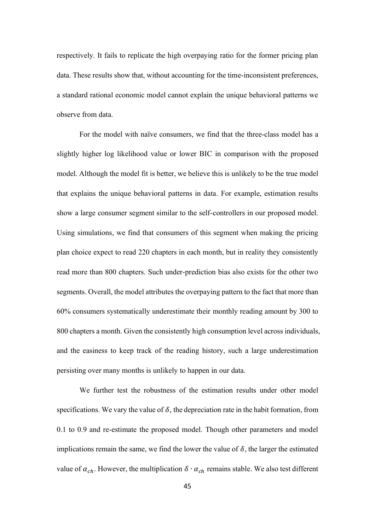respectively. It fails to replicate the high overpaying ratio for the former pricing plan data. These results show that, without accounting for the time-inconsistent preferences, a standard rational economic model cannot explain the unique behavioral patterns we observe from data.

For the model with naïve consumers, we find that the three-class model has a slightly higher log likelihood value or lower BIC in comparison with the proposed model. Although the model fit is better, we believe this is unlikely to be the true model that explains the unique behavioral patterns in data. For example, estimation results show a large consumer segment similar to the self-controllers in our proposed model. Using simulations, we find that consumers of this segment when making the pricing plan choice expect to read 220 chapters in each month, but in reality they consistently read more than 800 chapters. Such under-prediction bias also exists for the other two segments. Overall, the model attributes the overpaying pattern to the fact that more than 60% consumers systematically underestimate their monthly reading amount by 300 to 800 chapters a month. Given the consistently high consumption level across individuals, and the easiness to keep track of the reading history, such a large underestimation persisting over many months is unlikely to happen in our data.

We further test the robustness of the estimation results under other model specifications. We vary the value of  $\delta$ , the depreciation rate in the habit formation, from 0.1 to 0.9 and re-estimate the proposed model. Though other parameters and model implications remain the same, we find the lower the value of  $\delta$ , the larger the estimated value of  $\alpha_{ch}$ . However, the multiplication  $\delta \cdot \alpha_{ch}$  remains stable. We also test different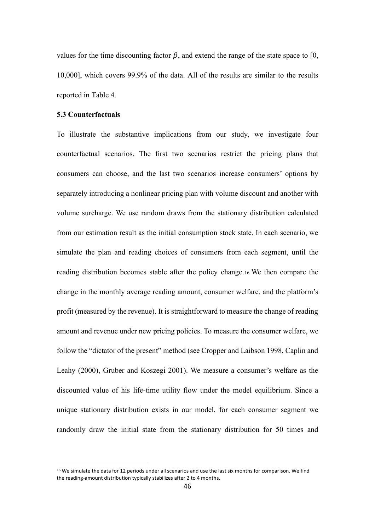values for the time discounting factor  $\beta$ , and extend the range of the state space to [0, 10,000], which covers 99.9% of the data. All of the results are similar to the results reported in Table 4.

### **5.3 Counterfactuals**

To illustrate the substantive implications from our study, we investigate four counterfactual scenarios. The first two scenarios restrict the pricing plans that consumers can choose, and the last two scenarios increase consumers' options by separately introducing a nonlinear pricing plan with volume discount and another with volume surcharge. We use random draws from the stationary distribution calculated from our estimation result as the initial consumption stock state. In each scenario, we simulate the plan and reading choices of consumers from each segment, until the reading distribution becomes stable after the policy change.16 We then compare the change in the monthly average reading amount, consumer welfare, and the platform's profit (measured by the revenue). It is straightforward to measure the change of reading amount and revenue under new pricing policies. To measure the consumer welfare, we follow the "dictator of the present" method (see Cropper and Laibson 1998, Caplin and Leahy (2000), Gruber and Koszegi 2001). We measure a consumer's welfare as the discounted value of his life-time utility flow under the model equilibrium. Since a unique stationary distribution exists in our model, for each consumer segment we randomly draw the initial state from the stationary distribution for 50 times and

<sup>&</sup>lt;sup>16</sup> We simulate the data for 12 periods under all scenarios and use the last six months for comparison. We find the reading-amount distribution typically stabilizes after 2 to 4 months.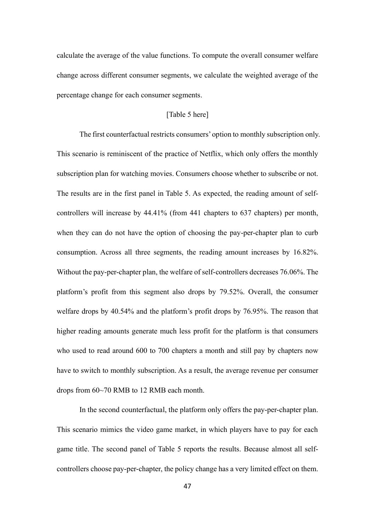calculate the average of the value functions. To compute the overall consumer welfare change across different consumer segments, we calculate the weighted average of the percentage change for each consumer segments.

## [Table 5 here]

The first counterfactual restricts consumers' option to monthly subscription only. This scenario is reminiscent of the practice of Netflix, which only offers the monthly subscription plan for watching movies. Consumers choose whether to subscribe or not. The results are in the first panel in Table 5. As expected, the reading amount of selfcontrollers will increase by 44.41% (from 441 chapters to 637 chapters) per month, when they can do not have the option of choosing the pay-per-chapter plan to curb consumption. Across all three segments, the reading amount increases by 16.82%. Without the pay-per-chapter plan, the welfare of self-controllers decreases 76.06%. The platform's profit from this segment also drops by 79.52%. Overall, the consumer welfare drops by 40.54% and the platform's profit drops by 76.95%. The reason that higher reading amounts generate much less profit for the platform is that consumers who used to read around 600 to 700 chapters a month and still pay by chapters now have to switch to monthly subscription. As a result, the average revenue per consumer drops from 60~70 RMB to 12 RMB each month.

In the second counterfactual, the platform only offers the pay-per-chapter plan. This scenario mimics the video game market, in which players have to pay for each game title. The second panel of Table 5 reports the results. Because almost all selfcontrollers choose pay-per-chapter, the policy change has a very limited effect on them.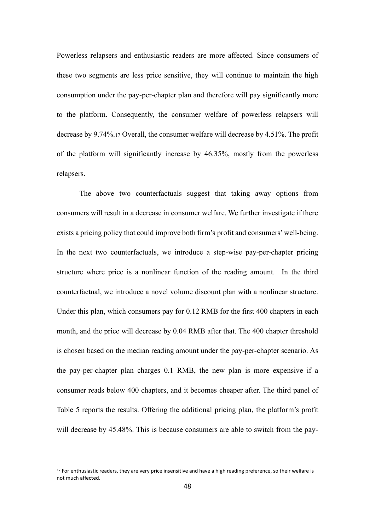Powerless relapsers and enthusiastic readers are more affected. Since consumers of these two segments are less price sensitive, they will continue to maintain the high consumption under the pay-per-chapter plan and therefore will pay significantly more to the platform. Consequently, the consumer welfare of powerless relapsers will decrease by 9.74%.<sup>17</sup> Overall, the consumer welfare will decrease by 4.51%. The profit of the platform will significantly increase by 46.35%, mostly from the powerless relapsers.

The above two counterfactuals suggest that taking away options from consumers will result in a decrease in consumer welfare. We further investigate if there exists a pricing policy that could improve both firm's profit and consumers' well-being. In the next two counterfactuals, we introduce a step-wise pay-per-chapter pricing structure where price is a nonlinear function of the reading amount. In the third counterfactual, we introduce a novel volume discount plan with a nonlinear structure. Under this plan, which consumers pay for 0.12 RMB for the first 400 chapters in each month, and the price will decrease by 0.04 RMB after that. The 400 chapter threshold is chosen based on the median reading amount under the pay-per-chapter scenario. As the pay-per-chapter plan charges 0.1 RMB, the new plan is more expensive if a consumer reads below 400 chapters, and it becomes cheaper after. The third panel of Table 5 reports the results. Offering the additional pricing plan, the platform's profit will decrease by 45.48%. This is because consumers are able to switch from the pay-

 $17$  For enthusiastic readers, they are very price insensitive and have a high reading preference, so their welfare is not much affected.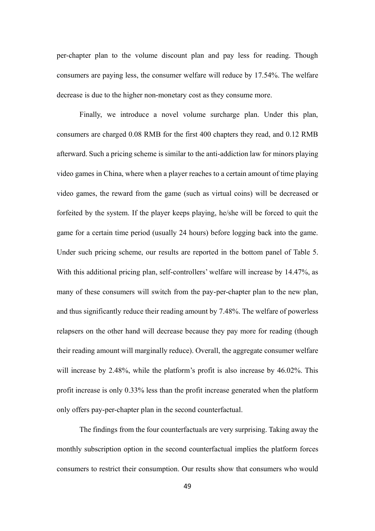per-chapter plan to the volume discount plan and pay less for reading. Though consumers are paying less, the consumer welfare will reduce by 17.54%. The welfare decrease is due to the higher non-monetary cost as they consume more.

Finally, we introduce a novel volume surcharge plan. Under this plan, consumers are charged 0.08 RMB for the first 400 chapters they read, and 0.12 RMB afterward. Such a pricing scheme is similar to the anti-addiction law for minors playing video games in China, where when a player reaches to a certain amount of time playing video games, the reward from the game (such as virtual coins) will be decreased or forfeited by the system. If the player keeps playing, he/she will be forced to quit the game for a certain time period (usually 24 hours) before logging back into the game. Under such pricing scheme, our results are reported in the bottom panel of Table 5. With this additional pricing plan, self-controllers' welfare will increase by 14.47%, as many of these consumers will switch from the pay-per-chapter plan to the new plan, and thus significantly reduce their reading amount by 7.48%. The welfare of powerless relapsers on the other hand will decrease because they pay more for reading (though their reading amount will marginally reduce). Overall, the aggregate consumer welfare will increase by 2.48%, while the platform's profit is also increase by 46.02%. This profit increase is only 0.33% less than the profit increase generated when the platform only offers pay-per-chapter plan in the second counterfactual.

The findings from the four counterfactuals are very surprising. Taking away the monthly subscription option in the second counterfactual implies the platform forces consumers to restrict their consumption. Our results show that consumers who would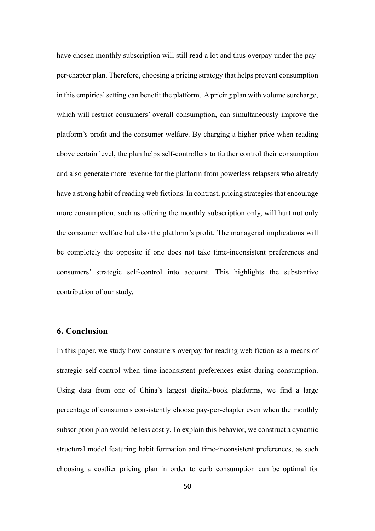have chosen monthly subscription will still read a lot and thus overpay under the payper-chapter plan. Therefore, choosing a pricing strategy that helps prevent consumption in this empirical setting can benefit the platform. Apricing plan with volume surcharge, which will restrict consumers' overall consumption, can simultaneously improve the platform's profit and the consumer welfare. By charging a higher price when reading above certain level, the plan helps self-controllers to further control their consumption and also generate more revenue for the platform from powerless relapsers who already have a strong habit of reading web fictions. In contrast, pricing strategies that encourage more consumption, such as offering the monthly subscription only, will hurt not only the consumer welfare but also the platform's profit. The managerial implications will be completely the opposite if one does not take time-inconsistent preferences and consumers' strategic self-control into account. This highlights the substantive contribution of our study.

# **6. Conclusion**

In this paper, we study how consumers overpay for reading web fiction as a means of strategic self-control when time-inconsistent preferences exist during consumption. Using data from one of China's largest digital-book platforms, we find a large percentage of consumers consistently choose pay-per-chapter even when the monthly subscription plan would be less costly. To explain this behavior, we construct a dynamic structural model featuring habit formation and time-inconsistent preferences, as such choosing a costlier pricing plan in order to curb consumption can be optimal for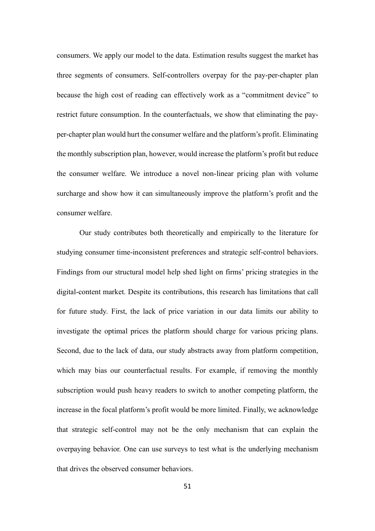consumers. We apply our model to the data. Estimation results suggest the market has three segments of consumers. Self-controllers overpay for the pay-per-chapter plan because the high cost of reading can effectively work as a "commitment device" to restrict future consumption. In the counterfactuals, we show that eliminating the payper-chapter plan would hurt the consumer welfare and the platform's profit. Eliminating the monthly subscription plan, however, would increase the platform's profit but reduce the consumer welfare. We introduce a novel non-linear pricing plan with volume surcharge and show how it can simultaneously improve the platform's profit and the consumer welfare.

Our study contributes both theoretically and empirically to the literature for studying consumer time-inconsistent preferences and strategic self-control behaviors. Findings from our structural model help shed light on firms' pricing strategies in the digital-content market. Despite its contributions, this research has limitations that call for future study. First, the lack of price variation in our data limits our ability to investigate the optimal prices the platform should charge for various pricing plans. Second, due to the lack of data, our study abstracts away from platform competition, which may bias our counterfactual results. For example, if removing the monthly subscription would push heavy readers to switch to another competing platform, the increase in the focal platform's profit would be more limited. Finally, we acknowledge that strategic self-control may not be the only mechanism that can explain the overpaying behavior. One can use surveys to test what is the underlying mechanism that drives the observed consumer behaviors.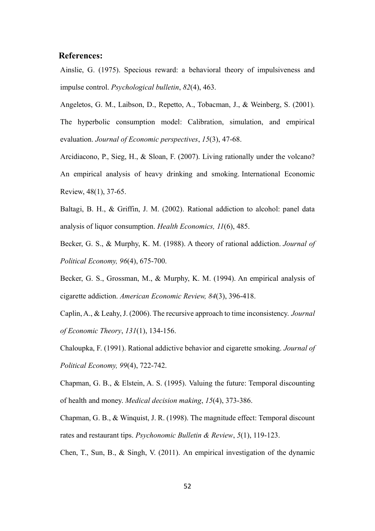## **References:**

Ainslie, G. (1975). Specious reward: a behavioral theory of impulsiveness and impulse control. *Psychological bulletin*, *82*(4), 463.

Angeletos, G. M., Laibson, D., Repetto, A., Tobacman, J., & Weinberg, S. (2001). The hyperbolic consumption model: Calibration, simulation, and empirical evaluation. *Journal of Economic perspectives*, *15*(3), 47-68.

Arcidiacono, P., Sieg, H., & Sloan, F. (2007). Living rationally under the volcano? An empirical analysis of heavy drinking and smoking. International Economic Review, 48(1), 37-65.

Baltagi, B. H., & Griffin, J. M. (2002). Rational addiction to alcohol: panel data analysis of liquor consumption. *Health Economics, 11*(6), 485.

Becker, G. S., & Murphy, K. M. (1988). A theory of rational addiction. *Journal of Political Economy, 96*(4), 675-700.

Becker, G. S., Grossman, M., & Murphy, K. M. (1994). An empirical analysis of cigarette addiction. *American Economic Review, 84*(3), 396-418.

Caplin, A., & Leahy, J. (2006). The recursive approach to time inconsistency. *Journal of Economic Theory*, *131*(1), 134-156.

Chaloupka, F. (1991). Rational addictive behavior and cigarette smoking. *Journal of Political Economy, 99*(4), 722-742.

Chapman, G. B., & Elstein, A. S. (1995). Valuing the future: Temporal discounting of health and money. *Medical decision making*, *15*(4), 373-386.

Chapman, G. B., & Winquist, J. R. (1998). The magnitude effect: Temporal discount rates and restaurant tips. *Psychonomic Bulletin & Review*, *5*(1), 119-123.

Chen, T., Sun, B., & Singh, V. (2011). An empirical investigation of the dynamic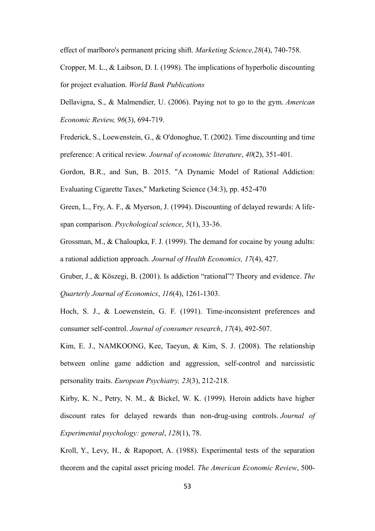effect of marlboro's permanent pricing shift. *Marketing Science,28*(4), 740-758.

Cropper, M. L., & Laibson, D. I. (1998). The implications of hyperbolic discounting for project evaluation. *World Bank Publications*

Dellavigna, S., & Malmendier, U. (2006). Paying not to go to the gym. *American Economic Review, 96*(3), 694-719.

Frederick, S., Loewenstein, G., & O'donoghue, T. (2002). Time discounting and time preference: A critical review. *Journal of economic literature*, *40*(2), 351-401.

Gordon, B.R., and Sun, B. 2015. "A Dynamic Model of Rational Addiction: Evaluating Cigarette Taxes," Marketing Science (34:3), pp. 452-470

Green, L., Fry, A. F., & Myerson, J. (1994). Discounting of delayed rewards: A lifespan comparison. *Psychological science*, *5*(1), 33-36.

Grossman, M., & Chaloupka, F. J. (1999). The demand for cocaine by young adults: a rational addiction approach. *Journal of Health Economics, 17*(4), 427.

Gruber, J., & Köszegi, B. (2001). Is addiction "rational"? Theory and evidence. *The Quarterly Journal of Economics*, *116*(4), 1261-1303.

Hoch, S. J., & Loewenstein, G. F. (1991). Time-inconsistent preferences and consumer self-control. *Journal of consumer research*, *17*(4), 492-507.

Kim, E. J., NAMKOONG, Kee, Taeyun, & Kim, S. J. (2008). The relationship between online game addiction and aggression, self-control and narcissistic personality traits. *European Psychiatry, 23*(3), 212-218.

Kirby, K. N., Petry, N. M., & Bickel, W. K. (1999). Heroin addicts have higher discount rates for delayed rewards than non-drug-using controls. *Journal of Experimental psychology: general*, *128*(1), 78.

Kroll, Y., Levy, H., & Rapoport, A. (1988). Experimental tests of the separation theorem and the capital asset pricing model. *The American Economic Review*, 500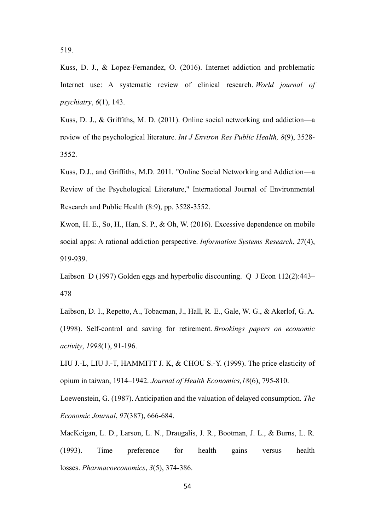519.

Kuss, D. J., & Lopez-Fernandez, O. (2016). Internet addiction and problematic Internet use: A systematic review of clinical research. *World journal of psychiatry*, *6*(1), 143.

Kuss, D. J., & Griffiths, M. D. (2011). Online social networking and addiction—a review of the psychological literature. *Int J Environ Res Public Health, 8*(9), 3528- 3552.

Kuss, D.J., and Griffiths, M.D. 2011. "Online Social Networking and Addiction—a Review of the Psychological Literature," International Journal of Environmental Research and Public Health (8:9), pp. 3528-3552.

Kwon, H. E., So, H., Han, S. P., & Oh, W. (2016). Excessive dependence on mobile social apps: A rational addiction perspective. *Information Systems Research*, *27*(4), 919-939.

Laibson D (1997) Golden eggs and hyperbolic discounting. Q J Econ 112(2):443– 478

Laibson, D. I., Repetto, A., Tobacman, J., Hall, R. E., Gale, W. G., & Akerlof, G. A. (1998). Self-control and saving for retirement. *Brookings papers on economic activity*, *1998*(1), 91-196.

LIU J.-L, LIU J.-T, HAMMITT J. K, & CHOU S.-Y. (1999). The price elasticity of opium in taiwan, 1914–1942. *Journal of Health Economics,18*(6), 795-810.

Loewenstein, G. (1987). Anticipation and the valuation of delayed consumption. *The Economic Journal*, *97*(387), 666-684.

MacKeigan, L. D., Larson, L. N., Draugalis, J. R., Bootman, J. L., & Burns, L. R. (1993). Time preference for health gains versus health losses. *Pharmacoeconomics*, *3*(5), 374-386.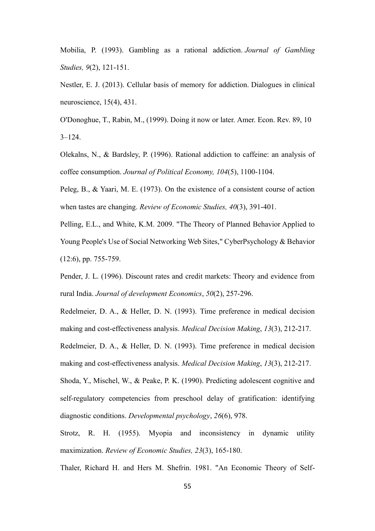Mobilia, P. (1993). Gambling as a rational addiction. *Journal of Gambling Studies, 9*(2), 121-151.

Nestler, E. J. (2013). Cellular basis of memory for addiction. Dialogues in clinical neuroscience, 15(4), 431.

O'Donoghue, T., Rabin, M., (1999). Doing it now or later. Amer. Econ. Rev. 89, 10  $3 - 124$ .

Olekalns, N., & Bardsley, P. (1996). Rational addiction to caffeine: an analysis of coffee consumption. *Journal of Political Economy, 104*(5), 1100-1104.

Peleg, B., & Yaari, M. E. (1973). On the existence of a consistent course of action when tastes are changing. *Review of Economic Studies, 40*(3), 391-401.

Pelling, E.L., and White, K.M. 2009. "The Theory of Planned Behavior Applied to Young People's Use of Social Networking Web Sites," CyberPsychology & Behavior (12:6), pp. 755-759.

Pender, J. L. (1996). Discount rates and credit markets: Theory and evidence from rural India. *Journal of development Economics*, *50*(2), 257-296.

Redelmeier, D. A., & Heller, D. N. (1993). Time preference in medical decision making and cost-effectiveness analysis. *Medical Decision Making*, *13*(3), 212-217.

Redelmeier, D. A., & Heller, D. N. (1993). Time preference in medical decision making and cost-effectiveness analysis. *Medical Decision Making*, *13*(3), 212-217.

Shoda, Y., Mischel, W., & Peake, P. K. (1990). Predicting adolescent cognitive and self-regulatory competencies from preschool delay of gratification: identifying diagnostic conditions. *Developmental psychology*, *26*(6), 978.

Strotz, R. H. (1955). Myopia and inconsistency in dynamic utility maximization. *Review of Economic Studies, 23*(3), 165-180.

Thaler, Richard H. and Hers M. Shefrin. 1981. "An Economic Theory of Self-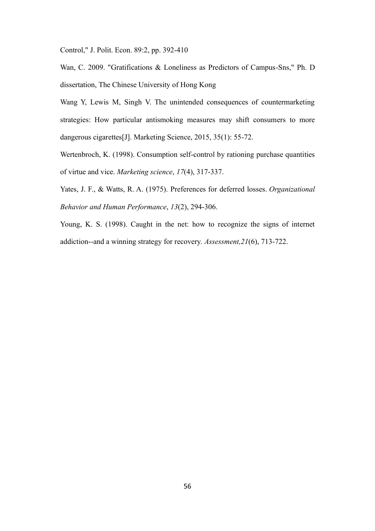Control," J. Polit. Econ. 89:2, pp. 392-410

Wan, C. 2009. "Gratifications & Loneliness as Predictors of Campus-Sns," Ph. D dissertation, The Chinese University of Hong Kong

Wang Y, Lewis M, Singh V. The unintended consequences of countermarketing strategies: How particular antismoking measures may shift consumers to more dangerous cigarettes[J]. Marketing Science, 2015, 35(1): 55-72.

Wertenbroch, K. (1998). Consumption self-control by rationing purchase quantities of virtue and vice. *Marketing science*, *17*(4), 317-337.

Yates, J. F., & Watts, R. A. (1975). Preferences for deferred losses. *Organizational Behavior and Human Performance*, *13*(2), 294-306.

Young, K. S. (1998). Caught in the net: how to recognize the signs of internet addiction--and a winning strategy for recovery. *Assessment,21*(6), 713-722.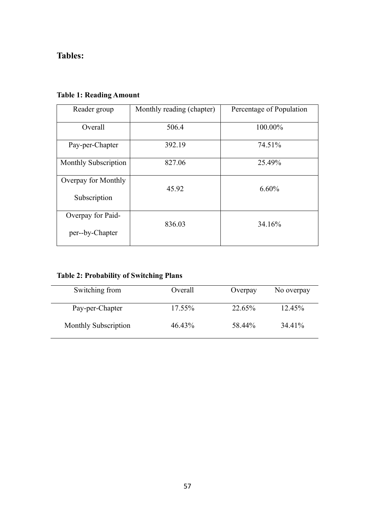# **Tables:**

| Reader group         | Monthly reading (chapter) | Percentage of Population |  |  |
|----------------------|---------------------------|--------------------------|--|--|
| Overall              | 506.4                     | 100.00%                  |  |  |
| Pay-per-Chapter      | 392.19                    | 74.51%                   |  |  |
| Monthly Subscription | 827.06                    | 25.49%                   |  |  |
| Overpay for Monthly  | 45.92                     | 6.60%                    |  |  |
| Subscription         |                           |                          |  |  |
| Overpay for Paid-    | 836.03                    | 34.16%                   |  |  |
| per--by-Chapter      |                           |                          |  |  |

# **Table 1: Reading Amount**

| Switching from       | Overall   | Overpay | No overpay |
|----------------------|-----------|---------|------------|
| Pay-per-Chapter      | 17.55%    | 22.65%  | 12.45%     |
| Monthly Subscription | $46.43\%$ | 58.44%  | 34.41%     |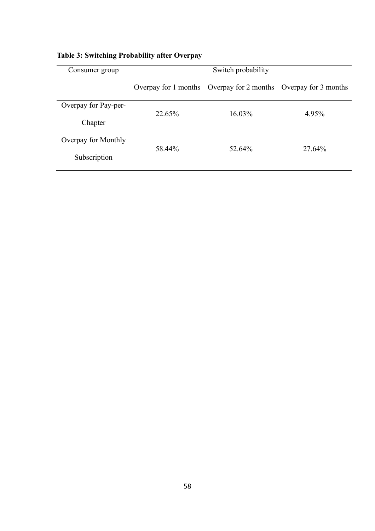| Consumer group       | Switch probability   |                                           |        |  |
|----------------------|----------------------|-------------------------------------------|--------|--|
|                      | Overpay for 1 months | Overpay for 2 months Overpay for 3 months |        |  |
| Overpay for Pay-per- | 22.65%               | 16.03%                                    | 4.95%  |  |
| Chapter              |                      |                                           |        |  |
| Overpay for Monthly  |                      |                                           | 27.64% |  |
| Subscription         | 58.44%               | 52.64%                                    |        |  |

# **Table 3: Switching Probability after Overpay**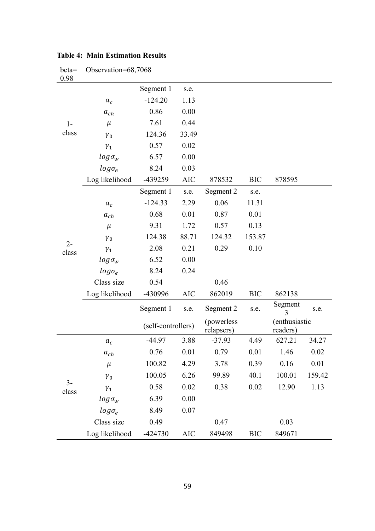| beta=<br>0.98  | Observation=68,7068 |                    |            |                          |            |                           |        |
|----------------|---------------------|--------------------|------------|--------------------------|------------|---------------------------|--------|
| $1-$<br>class  |                     | Segment 1          | s.e.       |                          |            |                           |        |
|                | $a_c$               | $-124.20$          | 1.13       |                          |            |                           |        |
|                | $a_{ch}$            | 0.86               | 0.00       |                          |            |                           |        |
|                | $\mu$               | 7.61               | 0.44       |                          |            |                           |        |
|                | $\gamma_0$          | 124.36             | 33.49      |                          |            |                           |        |
|                | $\gamma_1$          | 0.57               | 0.02       |                          |            |                           |        |
|                | $log\sigma_w$       | 6.57               | 0.00       |                          |            |                           |        |
|                | $log \sigma_e$      | 8.24               | 0.03       |                          |            |                           |        |
|                | Log likelihood      | -439259            | AIC        | 878532                   | <b>BIC</b> | 878595                    |        |
|                |                     | Segment 1          | s.e.       | Segment 2                | s.e.       |                           |        |
|                | $a_c$               | $-124.33$          | 2.29       | 0.06                     | 11.31      |                           |        |
|                | $a_{ch}$            | 0.68               | 0.01       | 0.87                     | 0.01       |                           |        |
|                | $\mu$               | 9.31               | 1.72       | 0.57                     | 0.13       |                           |        |
|                | $\gamma_0$          | 124.38             | 88.71      | 124.32                   | 153.87     |                           |        |
| $2 -$<br>class | $\gamma_1$          | 2.08               | 0.21       | 0.29                     | 0.10       |                           |        |
|                | $log \sigma_w$      | 6.52               | 0.00       |                          |            |                           |        |
|                | $log \sigma_e$      | 8.24               | 0.24       |                          |            |                           |        |
|                | Class size          | 0.54               |            | 0.46                     |            |                           |        |
|                | Log likelihood      | -430996            | <b>AIC</b> | 862019                   | <b>BIC</b> | 862138                    |        |
|                |                     | Segment 1          | s.e.       | Segment 2                | s.e.       | Segment<br>3              | s.e.   |
|                |                     | (self-controllers) |            | (powerless<br>relapsers) |            | (enthusiastic<br>readers) |        |
|                | $a_c$               | $-44.97$           | 3.88       | $-37.93$                 | 4.49       | 627.21                    | 34.27  |
| $3-$<br>class  | $a_{ch}$            | 0.76               | 0.01       | 0.79                     | 0.01       | 1.46                      | 0.02   |
|                | $\mu$               | 100.82             | 4.29       | 3.78                     | 0.39       | 0.16                      | 0.01   |
|                | $\gamma_0$          | 100.05             | 6.26       | 99.89                    | 40.1       | 100.01                    | 159.42 |
|                | $\gamma_1$          | 0.58               | 0.02       | 0.38                     | 0.02       | 12.90                     | 1.13   |
|                | $log\sigma_{w}$     | 6.39               | 0.00       |                          |            |                           |        |
|                | $log \sigma_e$      | 8.49               | 0.07       |                          |            |                           |        |
|                | Class size          | 0.49               |            | 0.47                     |            | 0.03                      |        |
|                | Log likelihood      | $-424730$          | <b>AIC</b> | 849498                   | <b>BIC</b> | 849671                    |        |

## **Table 4: Main Estimation Results**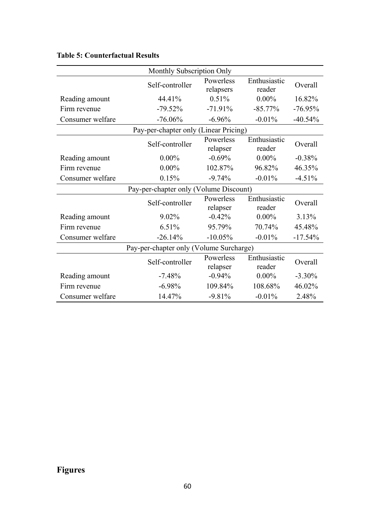| Monthly Subscription Only               |                 |                        |                        |           |  |
|-----------------------------------------|-----------------|------------------------|------------------------|-----------|--|
|                                         | Self-controller | Powerless<br>relapsers | Enthusiastic<br>reader | Overall   |  |
| Reading amount                          | 44.41%          | 0.51%                  | $0.00\%$               | 16.82%    |  |
| Firm revenue                            | $-79.52%$       | $-71.91%$              | $-85.77%$              | $-76.95%$ |  |
| Consumer welfare                        | $-76.06%$       | $-6.96%$               | $-0.01%$               | $-40.54%$ |  |
| Pay-per-chapter only (Linear Pricing)   |                 |                        |                        |           |  |
|                                         | Self-controller | Powerless<br>relapser  | Enthusiastic<br>reader | Overall   |  |
| Reading amount                          | $0.00\%$        | $-0.69%$               | $0.00\%$               | $-0.38%$  |  |
| Firm revenue                            | $0.00\%$        | 102.87%                | 96.82%                 | 46.35%    |  |
| Consumer welfare                        | 0.15%           | $-9.74%$               | $-0.01%$               | $-4.51%$  |  |
| Pay-per-chapter only (Volume Discount)  |                 |                        |                        |           |  |
|                                         | Self-controller | Powerless<br>relapser  | Enthusiastic<br>reader | Overall   |  |
| Reading amount                          | 9.02%           | $-0.42%$               | $0.00\%$               | 3.13%     |  |
| Firm revenue                            | 6.51%           | 95.79%                 | 70.74%                 | 45.48%    |  |
| Consumer welfare                        | $-26.14%$       | $-10.05%$              | $-0.01%$               | $-17.54%$ |  |
| Pay-per-chapter only (Volume Surcharge) |                 |                        |                        |           |  |
|                                         | Self-controller | Powerless<br>relapser  | Enthusiastic<br>reader | Overall   |  |
| Reading amount                          | $-7.48%$        | $-0.94%$               | $0.00\%$               | $-3.30%$  |  |
| Firm revenue                            | $-6.98%$        | 109.84%                | 108.68%                | 46.02%    |  |
| Consumer welfare                        | 14.47%          | $-9.81%$               | $-0.01%$               | 2.48%     |  |

# **Table 5: Counterfactual Results**

# **Figures**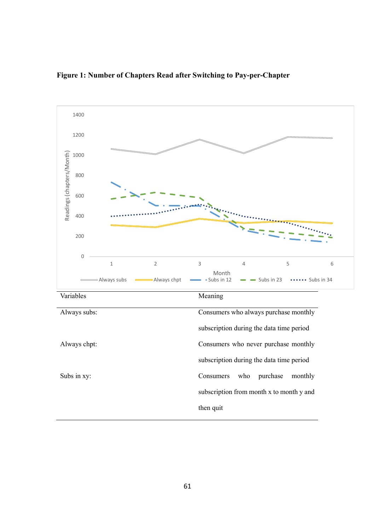

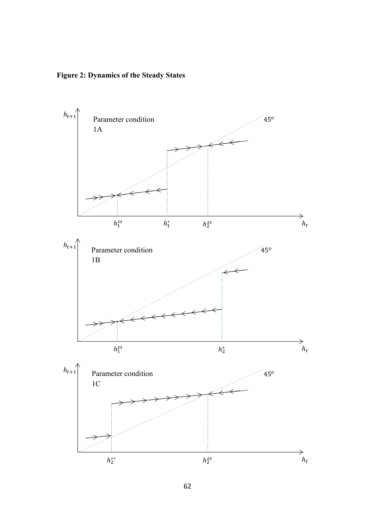**Figure 2: Dynamics of the Steady States** 

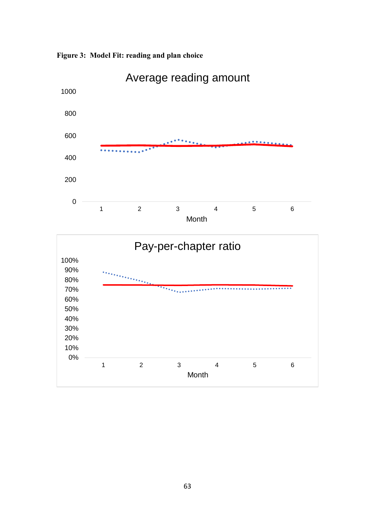

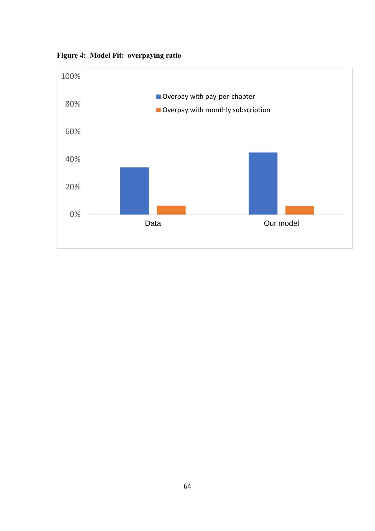

**Figure 4: Model Fit: overpaying ratio**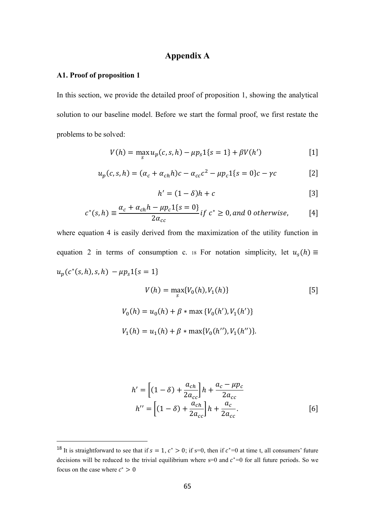# **Appendix A**

### **A1. Proof of proposition 1**

In this section, we provide the detailed proof of proposition 1, showing the analytical solution to our baseline model. Before we start the formal proof, we first restate the problems to be solved:

$$
V(h) = \max_{s} u_p(c, s, h) - \mu p_s \mathbf{1}\{s = 1\} + \beta V(h')
$$
 [1]

$$
u_p(c, s, h) = (\alpha_c + \alpha_{ch} h)c - \alpha_{cc} c^2 - \mu p_c 1\{s = 0\}c - \gamma c
$$
 [2]

$$
h' = (1 - \delta)h + c \tag{3}
$$

$$
c^*(s,h) \equiv \frac{\alpha_c + \alpha_{ch}h - \mu p_c 1\{s = 0\}}{2\alpha_{cc}} \text{ if } c^* \ge 0, \text{ and } 0 \text{ otherwise,} \tag{4}
$$

where equation 4 is easily derived from the maximization of the utility function in equation 2 in terms of consumption c. 18 For notation simplicity, let  $u_s(h) \equiv$  $u_p(c^*(s, h), s, h) - \mu p_s 1\{s = 1\}$ 

$$
V(h) = \max_{s} \{V_0(h), V_1(h)\}
$$
\n
$$
V_0(h) = u_0(h) + \beta * \max \{V_0(h'), V_1(h')\}
$$
\n
$$
V_1(h) = u_1(h) + \beta * \max \{V_0(h''), V_1(h'')\}.
$$
\n(5)

$$
h' = \left[ (1 - \delta) + \frac{a_{ch}}{2a_{cc}} \right] h + \frac{a_c - \mu p_c}{2a_{cc}}
$$
  

$$
h'' = \left[ (1 - \delta) + \frac{a_{ch}}{2a_{cc}} \right] h + \frac{a_c}{2a_{cc}}.
$$
 [6]

<sup>&</sup>lt;sup>18</sup> It is straightforward to see that if  $s = 1, c^* > 0$ ; if s=0, then if  $c^* = 0$  at time t, all consumers' future decisions will be reduced to the trivial equilibrium where  $s=0$  and  $c^*=0$  for all future periods. So we focus on the case where  $c^* > 0$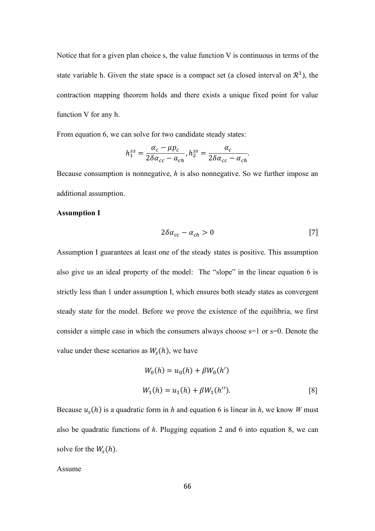Notice that for a given plan choice s, the value function V is continuous in terms of the state variable h. Given the state space is a compact set (a closed interval on  $\mathbb{R}^1$ ), the contraction mapping theorem holds and there exists a unique fixed point for value function V for any h.

From equation 6, we can solve for two candidate steady states:

$$
h_1^{ss} = \frac{\alpha_c - \mu p_c}{2\delta \alpha_{cc} - a_{ch}}, h_2^{ss} = \frac{\alpha_c}{2\delta \alpha_{cc} - \alpha_{ch}}.
$$

Because consumption is nonnegative, *h* is also nonnegative. So we further impose an additional assumption.

#### **Assumption I**

$$
2\delta\alpha_{cc} - \alpha_{ch} > 0 \tag{7}
$$

Assumption I guarantees at least one of the steady states is positive. This assumption also give us an ideal property of the model: The "slope" in the linear equation 6 is strictly less than 1 under assumption I, which ensures both steady states as convergent steady state for the model. Before we prove the existence of the equilibria, we first consider a simple case in which the consumers always choose s=1 or s=0. Denote the value under these scenarios as  $W_s(h)$ , we have

$$
W_0(h) = u_0(h) + \beta W_0(h')
$$
  

$$
W_1(h) = u_1(h) + \beta W_1(h'').
$$
 [8]

Because  $u_s(h)$  is a quadratic form in *h* and equation 6 is linear in *h*, we know *W* must also be quadratic functions of *h*. Plugging equation 2 and 6 into equation 8, we can solve for the  $W_s(h)$ .

Assume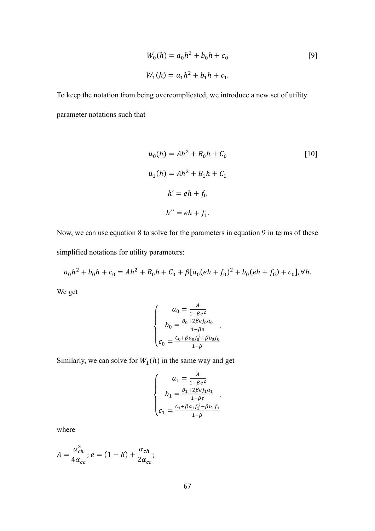$$
W_0(h) = a_0 h^2 + b_0 h + c_0
$$
  
\n
$$
W_1(h) = a_1 h^2 + b_1 h + c_1.
$$
\n<sup>(9)</sup>

To keep the notation from being overcomplicated, we introduce a new set of utility parameter notations such that

$$
u_0(h) = Ah^2 + B_0h + C_0
$$

$$
u_1(h) = Ah^2 + B_1h + C_1
$$

$$
h' = eh + f_0
$$

$$
h'' = eh + f_1.
$$

Now, we can use equation 8 to solve for the parameters in equation 9 in terms of these simplified notations for utility parameters:

$$
a_0h^2 + b_0h + c_0 = Ah^2 + B_0h + C_0 + \beta[a_0(eh + f_0)^2 + b_0(eh + f_0) + c_0], \forall h.
$$

We get

$$
\begin{cases}\n a_0 = \frac{A}{1 - \beta e^2} \\
b_0 = \frac{B_0 + 2\beta e f_0 a_0}{1 - \beta e} \\
c_0 = \frac{C_0 + \beta a_0 f_0^2 + \beta b_0 f_0}{1 - \beta}\n\end{cases}
$$

Similarly, we can solve for  $W_1(h)$  in the same way and get

$$
\left\{ \begin{array}{c} a_1 = \frac{A}{1-\beta e^2} \\ b_1 = \frac{B_1+2\beta e f_1 a_1}{1-\beta e} \\ c_1 = \frac{C_1+\beta a_1 f_1^2+\beta b_1 f_1}{1-\beta} \end{array} \right.,
$$

where

$$
A=\frac{\alpha_{ch}^2}{4\alpha_{cc}}; e=(1-\delta)+\frac{\alpha_{ch}}{2\alpha_{cc}};
$$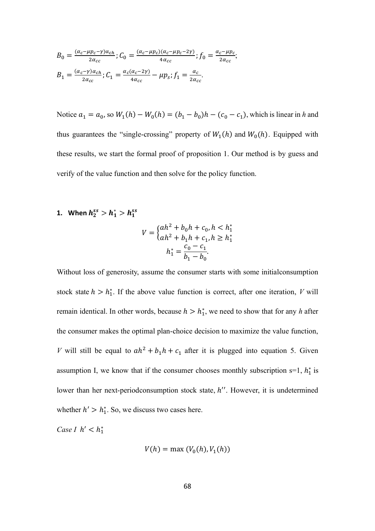$$
B_0 = \frac{(\alpha_c - \mu p_c - \gamma)\alpha_{ch}}{2\alpha_{cc}}; C_0 = \frac{(\alpha_c - \mu p_c)(\alpha_c - \mu p_c - 2\gamma)}{4\alpha_{cc}}; f_0 = \frac{\alpha_c - \mu p_c}{2\alpha_{cc}};
$$
  

$$
B_1 = \frac{(\alpha_c - \gamma)\alpha_{ch}}{2\alpha_{cc}}; C_1 = \frac{\alpha_c(\alpha_c - 2\gamma)}{4\alpha_{cc}} - \mu p_s; f_1 = \frac{\alpha_c}{2\alpha_{cc}}.
$$

Notice  $a_1 = a_0$ , so  $W_1(h) - W_0(h) = (b_1 - b_0)h - (c_0 - c_1)$ , which is linear in *h* and thus guarantees the "single-crossing" property of  $W_1(h)$  and  $W_0(h)$ . Equipped with these results, we start the formal proof of proposition 1. Our method is by guess and verify of the value function and then solve for the policy function.

**1.** When  $h_2^{ss} > h_1^* > h_1^{ss}$ 

$$
V = \begin{cases} ah^2 + b_0h + c_0, h < h_1^* \\ ah^2 + b_1h + c_1, h \ge h_1^* \end{cases}
$$

$$
h_1^* = \frac{c_0 - c_1}{b_1 - b_0}.
$$

Without loss of generosity, assume the consumer starts with some initialconsumption stock state  $h > h_1^*$ . If the above value function is correct, after one iteration, *V* will remain identical. In other words, because  $h > h_1^*$ , we need to show that for any h after the consumer makes the optimal plan-choice decision to maximize the value function, *V* will still be equal to  $ah^2 + b_1h + c_1$  after it is plugged into equation 5. Given assumption I, we know that if the consumer chooses monthly subscription  $s=1$ ,  $h_1^*$  is lower than her next-periodconsumption stock state, h''. However, it is undetermined whether  $h' > h_1^*$ . So, we discuss two cases here.

*Case I*  $h' < h_1^*$ 

$$
V(h) = \max(V_0(h), V_1(h))
$$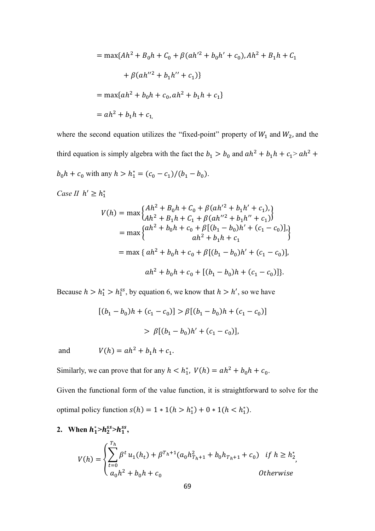$$
= \max\{Ah^2 + B_0h + C_0 + \beta(ah'^2 + b_0h' + c_0), Ah^2 + B_1h + C_1
$$

$$
+ \beta(ah''^2 + b_1h'' + c_1)\}
$$

$$
= \max\{ah^2 + b_0h + c_0, ah^2 + b_1h + c_1\}
$$

$$
= ah^2 + b_1h + c_1,
$$

where the second equation utilizes the "fixed-point" property of  $W_1$  and  $W_2$ , and the third equation is simply algebra with the fact the  $b_1 > b_0$  and  $ah^2 + b_1h + c_1 > ah^2 +$  $b_0 h + c_0$  with any  $h > h_1^* = (c_0 - c_1)/(b_1 - b_0)$ .

*Case II*  $h' \geq h_1^*$ 

$$
V(h) = \max \left\{ \begin{aligned} & Ah^2 + B_0 h + C_0 + \beta (ah'^2 + b_1 h' + c_1), \\ & Ah^2 + B_1 h + C_1 + \beta (ah''^2 + b_1 h'' + c_1) \end{aligned} \right\} = \max \left\{ \begin{aligned} & ah^2 + b_0 h + c_0 + \beta [(b_1 - b_0) h' + (c_1 - c_0)], \\ & ah^2 + b_1 h + c_1 \end{aligned} \right\} = \max \left\{ ah^2 + b_0 h + c_0 + \beta [(b_1 - b_0) h' + (c_1 - c_0)], \\ &ah^2 + b_0 h + c_0 + [(b_1 - b_0) h + (c_1 - c_0)] \right\}.
$$

Because  $h > h_1^* > h_1^{ss}$ , by equation 6, we know that  $h > h'$ , so we have

$$
[(b_1 - b_0)h + (c_1 - c_0)] > \beta [(b_1 - b_0)h + (c_1 - c_0)]
$$
  
>  $\beta [(b_1 - b_0)h' + (c_1 - c_0)],$ 

and  $V(h) = ah^2 + b_1h + c_1.$ 

Similarly, we can prove that for any  $h < h_1^*$ ,  $V(h) = ah^2 + b_0 h + c_0$ .

Given the functional form of the value function, it is straightforward to solve for the optimal policy function  $s(h) = 1 * 1(h > h_1^*) + 0 * 1(h < h_1^*)$ .

2. When  $h_1^* > h_2^{ss} > h_1^{ss}$ ,

$$
V(h) = \begin{cases} \sum_{t=0}^{T_h} \beta^t u_1(h_t) + \beta^{T_h+1} (a_0 h_{T_h+1}^2 + b_0 h_{T_h+1} + c_0) & \text{if } h \ge h_2^* \\ a_0 h^2 + b_0 h + c_0 & \text{Otherwise} \end{cases}
$$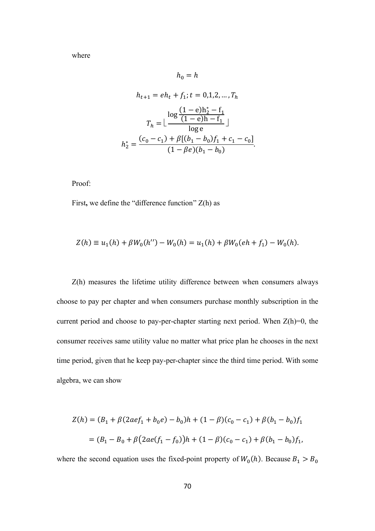where

$$
h_0 = h
$$

$$
h_{t+1} = eh_t + f_1; t = 0, 1, 2, ..., T_h
$$

$$
T_h = \lfloor \frac{\log \frac{(1 - e)h_2^* - f_1}{(1 - e)h - f_1}}{\log e} \rfloor
$$

$$
h_2^* = \frac{(c_0 - c_1) + \beta[(b_1 - b_0)f_1 + c_1 - c_0]}{(1 - \beta e)(b_1 - b_0)}.
$$

Proof:

First**,** we define the "difference function" Z(h) as

$$
Z(h) \equiv u_1(h) + \beta W_0(h'') - W_0(h) = u_1(h) + \beta W_0(eh + f_1) - W_0(h).
$$

Z(h) measures the lifetime utility difference between when consumers always choose to pay per chapter and when consumers purchase monthly subscription in the current period and choose to pay-per-chapter starting next period. When  $Z(h)=0$ , the consumer receives same utility value no matter what price plan he chooses in the next time period, given that he keep pay-per-chapter since the third time period. With some algebra, we can show

$$
Z(h) = (B_1 + \beta(2ae f_1 + b_0 e) - b_0)h + (1 - \beta)(c_0 - c_1) + \beta(b_1 - b_0)f_1
$$
  
= 
$$
(B_1 - B_0 + \beta(2ae(f_1 - f_0))h + (1 - \beta)(c_0 - c_1) + \beta(b_1 - b_0)f_1,
$$

where the second equation uses the fixed-point property of  $W_0(h)$ . Because  $B_1 > B_0$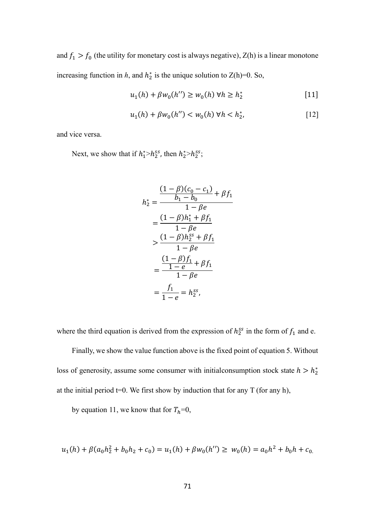and  $f_1 > f_0$  (the utility for monetary cost is always negative), Z(h) is a linear monotone increasing function in *h*, and  $h_2^*$  is the unique solution to Z(h)=0. So,

$$
u_1(h) + \beta w_0(h'') \ge w_0(h) \,\forall h \ge h_2^* \tag{11}
$$

$$
u_1(h) + \beta w_0(h'') < w_0(h) \,\forall h < h_2^*,\tag{12}
$$

and vice versa.

Next, we show that if  $h_1^* > h_2^{ss}$ , then  $h_2^* > h_2^{ss}$ ;

$$
h_2^* = \frac{\frac{(1 - \beta)(c_0 - c_1)}{b_1 - b_0} + \beta f_1}{1 - \beta e}
$$
  
= 
$$
\frac{(1 - \beta)h_1^* + \beta f_1}{1 - \beta e}
$$
  

$$
> \frac{(1 - \beta)h_2^{ss} + \beta f_1}{1 - \beta e}
$$
  
= 
$$
\frac{(1 - \beta)f_1}{1 - \beta e}
$$
  
= 
$$
\frac{f_1}{1 - e} = h_2^{ss},
$$

where the third equation is derived from the expression of  $h_2^{ss}$  in the form of  $f_1$  and e.

Finally, we show the value function above is the fixed point of equation 5. Without loss of generosity, assume some consumer with initial consumption stock state  $h > h_2^*$ at the initial period  $t=0$ . We first show by induction that for any T (for any h),

by equation 11, we know that for  $T_h=0$ ,

$$
u_1(h) + \beta(a_0h_2^2 + b_0h_2 + c_0) = u_1(h) + \beta w_0(h'') \ge w_0(h) = a_0h^2 + b_0h + c_0
$$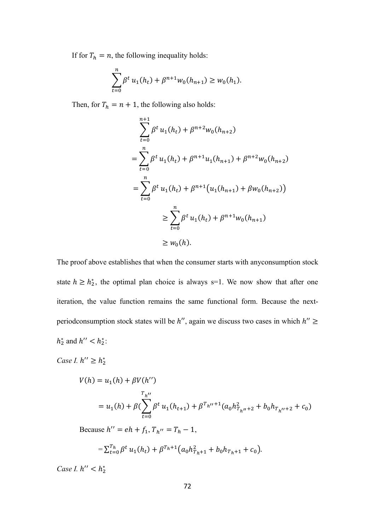If for  $T_h = n$ , the following inequality holds:

$$
\sum_{t=0}^{n} \beta^t u_1(h_t) + \beta^{n+1} w_0(h_{n+1}) \ge w_0(h_1).
$$

Then, for  $T_h = n + 1$ , the following also holds:

$$
\sum_{t=0}^{n+1} \beta^t u_1(h_t) + \beta^{n+2} w_0(h_{n+2})
$$
  
= 
$$
\sum_{t=0}^n \beta^t u_1(h_t) + \beta^{n+1} u_1(h_{n+1}) + \beta^{n+2} w_0(h_{n+2})
$$
  
= 
$$
\sum_{t=0}^n \beta^t u_1(h_t) + \beta^{n+1} (u_1(h_{n+1}) + \beta w_0(h_{n+2}))
$$
  

$$
\geq \sum_{t=0}^n \beta^t u_1(h_t) + \beta^{n+1} w_0(h_{n+1})
$$
  

$$
\geq w_0(h).
$$

The proof above establishes that when the consumer starts with anyconsumption stock state  $h \geq h_2^*$ , the optimal plan choice is always s=1. We now show that after one iteration, the value function remains the same functional form. Because the nextperiodconsumption stock states will be  $h''$ , again we discuss two cases in which  $h'' \geq$  $h_2^*$  and  $h'' < h_2^*$ :

*Case I.*  $h'' \geq h_2^*$ 

$$
V(h) = u_1(h) + \beta V(h'')
$$
  

$$
\tau_{h''}
$$
  

$$
= u_1(h) + \beta (\sum_{t=0}^{T_h''} \beta^t u_1(h_{t+1}) + \beta^{T_h''+1} (a_0 h_{T_h''+2}^2 + b_0 h_{T_h''+2} + c_0)
$$

Because  $h'' = eh + f_1, T_{h''} = T_h - 1$ ,

$$
=\sum_{t=0}^{T_h} \beta^t u_1(h_t) + \beta^{T_h+1} (a_0 h_{T_h+1}^2 + b_0 h_{T_h+1} + c_0).
$$

*Case I.*  $h'' < h_2^*$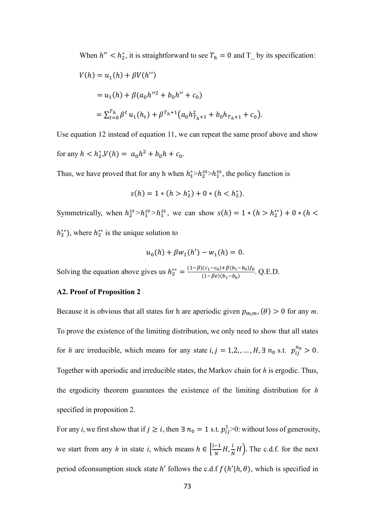When  $h'' < h_2^*$ , it is straightforward to see  $T_h = 0$  and  $T_h$  by its specification:

$$
V(h) = u_1(h) + \beta V(h'')
$$
  
=  $u_1(h) + \beta (a_0 h''^2 + b_0 h'' + c_0)$   
=  $\sum_{t=0}^{T_h} \beta^t u_1(h_t) + \beta^{T_h+1} (a_0 h_{T_h+1}^2 + b_0 h_{T_h+1} + c_0).$ 

Use equation 12 instead of equation 11, we can repeat the same proof above and show

for any  $h < h_2^* V(h) = a_0 h^2 + b_0 h + c_0$ .

Thus, we have proved that for any h when  $h_1^* > h_2^{ss} > h_1^{ss}$ , the policy function is

$$
s(h) = 1 * (h > h_2^*) + 0 * (h < h_2^*).
$$

Symmetrically, when  $h_2^{ss} > h_1^{ss} > h_1^{ss}$ , we can show  $s(h) = 1 * (h > h_2^{**}) + 0 * (h <$  $h_2^{**}$ ), where  $h_2^{**}$  is the unique solution to

$$
u_0(h) + \beta w_1(h') - w_1(h) = 0.
$$

Solving the equation above gives us  $h_2^{**} = \frac{(1-\beta)(c_1-c_0)+\beta(b_1-b_0)f_0}{(1-\beta e)(b_1-b_0)}$  $\frac{(1-(1-\epsilon_0)+p(\theta_1-\theta_0)/0)}{(1-\beta e)(b_1-b_0)}$ . Q.E.D.

## **A2. Proof of Proposition 2**

Because it is obvious that all states for h are aperiodic given  $p_{m,m}$ , ( $\theta$ ) > 0 for any *m*. To prove the existence of the limiting distribution, we only need to show that all states for *h* are irreducible, which means for any state  $i, j = 1, 2, ..., H$ ,  $\exists n_0$  s.t.  $p_{ij}^{n_0} > 0$ . Together with aperiodic and irreducible states, the Markov chain for *h* is ergodic. Thus, the ergodicity theorem guarantees the existence of the limiting distribution for *h*  specified in proposition 2.

For any *i*, we first show that if  $j \ge i$ , then  $\exists n_0 = 1$  s.t.  $p_{ij}^1 > 0$ : without loss of generosity, we start from any *h* in state *i*, which means  $h \in \left[\frac{i-1}{N}\right]$  $\frac{-1}{N}H, \frac{i}{N}$  $\frac{1}{N}H$ ). The c.d.f. for the next period of consumption stock state h' follows the c.d.f  $f(h'|h, \theta)$ , which is specified in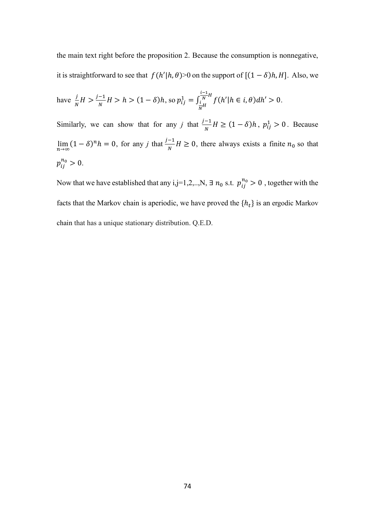the main text right before the proposition 2. Because the consumption is nonnegative, it is straightforward to see that  $f(h'|h, \theta) > 0$  on the support of  $[(1 - \delta)h, H]$ . Also, we

have 
$$
\frac{j}{N}H > \frac{j-1}{N}H > h > (1 - \delta)h
$$
, so  $p_{ij}^1 = \int_{\frac{i}{N}H}^{\frac{i-1}{N}H} f(h'|h \in i, \theta) dh' > 0$ .

Similarly, we can show that for any *j* that  $\frac{j-1}{N}H \ge (1-\delta)h$ ,  $p_{ij}^1 > 0$ . Because lim<sub>n→∞</sub>  $(1 - \delta)^n h = 0$ , for any *j* that  $\frac{j-1}{N} H \ge 0$ , there always exists a finite  $n_0$  so that  $p_{ij}^{n_0} > 0.$ 

Now that we have established that any i,j=1,2,..,N,  $\exists n_0$  s.t.  $p_{ij}^{n_0} > 0$  , together with the facts that the Markov chain is aperiodic, we have proved the  $\{h_t\}$  is an ergodic Markov chain that has a unique stationary distribution. Q.E.D.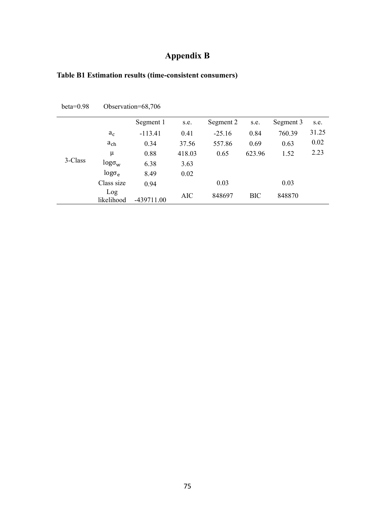## **Appendix B**

| $beta=0.98$ | Observation=68,706   |            |            |           |            |           |       |  |  |  |
|-------------|----------------------|------------|------------|-----------|------------|-----------|-------|--|--|--|
|             |                      | Segment 1  | s.e.       | Segment 2 | s.e.       | Segment 3 | s.e.  |  |  |  |
| 3-Class     | $a_c$                | $-113.41$  | 0.41       | $-25.16$  | 0.84       | 760.39    | 31.25 |  |  |  |
|             | $a_{ch}$             | 0.34       | 37.56      | 557.86    | 0.69       | 0.63      | 0.02  |  |  |  |
|             | $\mu$                | 0.88       | 418.03     | 0.65      | 623.96     | 1.52      | 2.23  |  |  |  |
|             | $log \sigma_{\rm w}$ | 6.38       | 3.63       |           |            |           |       |  |  |  |
|             | $log \sigma_e$       | 8.49       | 0.02       |           |            |           |       |  |  |  |
|             | Class size           | 0.94       |            | 0.03      |            | 0.03      |       |  |  |  |
|             | Log<br>likelihood    | -439711.00 | <b>AIC</b> | 848697    | <b>BIC</b> | 848870    |       |  |  |  |

## **Table B1 Estimation results (time-consistent consumers)**